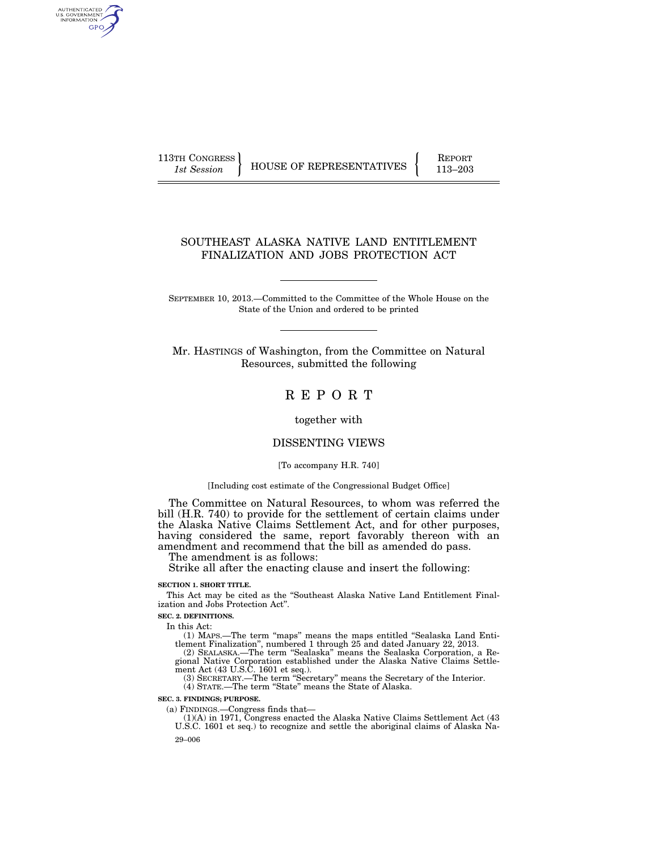AUTHENTICATED<br>U.S. GOVERNMENT<br>INFORMATION GPO

113TH CONGRESS HOUSE OF REPRESENTATIVES FEPORT 113–203

# SOUTHEAST ALASKA NATIVE LAND ENTITLEMENT FINALIZATION AND JOBS PROTECTION ACT

SEPTEMBER 10, 2013.—Committed to the Committee of the Whole House on the State of the Union and ordered to be printed

Mr. HASTINGS of Washington, from the Committee on Natural Resources, submitted the following

R E P O R T

together with

# DISSENTING VIEWS

### [To accompany H.R. 740]

### [Including cost estimate of the Congressional Budget Office]

The Committee on Natural Resources, to whom was referred the bill (H.R. 740) to provide for the settlement of certain claims under the Alaska Native Claims Settlement Act, and for other purposes, having considered the same, report favorably thereon with an amendment and recommend that the bill as amended do pass.

The amendment is as follows:

Strike all after the enacting clause and insert the following:

### **SECTION 1. SHORT TITLE.**

This Act may be cited as the ''Southeast Alaska Native Land Entitlement Finalization and Jobs Protection Act''.

**SEC. 2. DEFINITIONS.** 

In this Act:<br>(1) Maps.--The term "maps" means the maps entitled "Sealaska Land Entitlement Finalization'', numbered 1 through 25 and dated January 22, 2013. (2) SEALASKA.—The term ''Sealaska'' means the Sealaska Corporation, a Re-

gional Native Corporation established under the Alaska Native Claims Settlement Act (43 U.S.C. 1601 et seq.).

(3) SECRETARY.—The term ''Secretary'' means the Secretary of the Interior.

(4) STATE.—The term ''State'' means the State of Alaska.

### **SEC. 3. FINDINGS; PURPOSE.**

(a) FINDINGS.—Congress finds that—

(1)(A) in 1971, Congress enacted the Alaska Native Claims Settlement Act (43 U.S.C. 1601 et seq.) to recognize and settle the aboriginal claims of Alaska Na-

29–006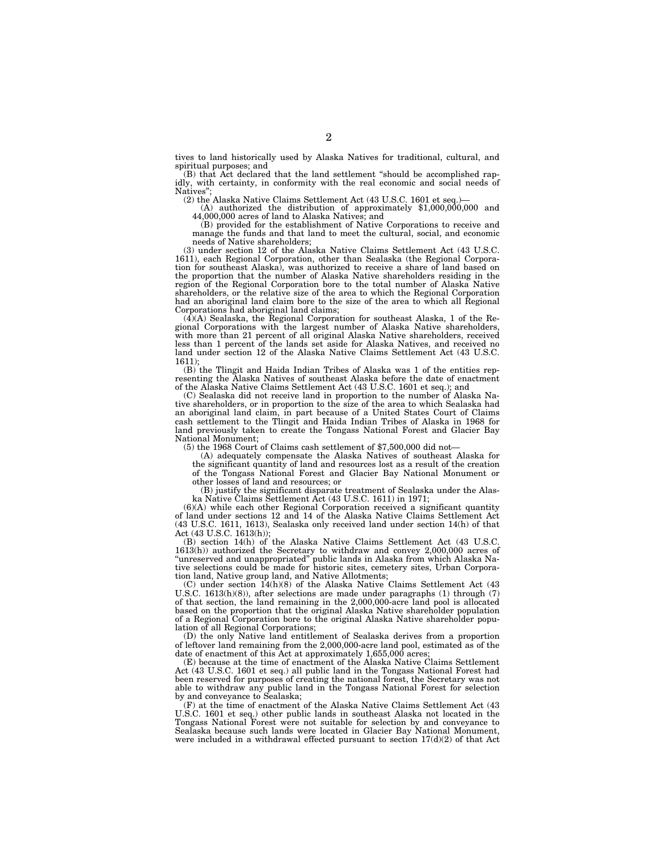tives to land historically used by Alaska Natives for traditional, cultural, and spiritual purposes; and

(B) that Act declared that the land settlement ''should be accomplished rapidly, with certainty, in conformity with the real economic and social needs of Natives";<br>(2) the Alaska Native Claims Settlement Act (43 U.S.C. 1601 et seq.)-

(A) authorized the distribution of approximately  $$1,000,000,000$  and 44,000,000 acres of land to Alaska Natives; and

(B) provided for the establishment of Native Corporations to receive and manage the funds and that land to meet the cultural, social, and economic needs of Native shareholders;

(3) under section 12 of the Alaska Native Claims Settlement Act (43 U.S.C. 1611), each Regional Corporation, other than Sealaska (the Regional Corporation for southeast Alaska), was authorized to receive a share of land based on the proportion that the number of Alaska Native shareholders residing in the region of the Regional Corporation bore to the total number of Alaska Native shareholders, or the relative size of the area to which the Regional Corporation had an aboriginal land claim bore to the size of the area to which all Regional Corporations had aboriginal land claims;

(4)(A) Sealaska, the Regional Corporation for southeast Alaska, 1 of the Re-gional Corporations with the largest number of Alaska Native shareholders, with more than 21 percent of all original Alaska Native shareholders, received less than 1 percent of the lands set aside for Alaska Natives, and received no land under section 12 of the Alaska Native Claims Settlement Act (43 U.S.C. 1611);

(B) the Tlingit and Haida Indian Tribes of Alaska was 1 of the entities representing the Alaska Natives of southeast Alaska before the date of enactment of the Alaska Native Claims Settlement Act (43 U.S.C. 1601 et seq.); and

(C) Sealaska did not receive land in proportion to the number of Alaska Native shareholders, or in proportion to the size of the area to which Sealaska had an aboriginal land claim, in part because of a United States Court of Claims cash settlement to the Tlingit and Haida Indian Tribes of Alaska in 1968 for land previously taken to create the Tongass National Forest and Glacier Bay National Monument;

(5) the 1968 Court of Claims cash settlement of \$7,500,000 did not—

(A) adequately compensate the Alaska Natives of southeast Alaska for the significant quantity of land and resources lost as a result of the creation of the Tongass National Forest and Glacier Bay National Monument or other losses of land and resources; or

(B) justify the significant disparate treatment of Sealaska under the Alaska Native Claims Settlement Act (43 U.S.C. 1611) in 1971;

(6)(A) while each other Regional Corporation received a significant quantity of land under sections 12 and 14 of the Alaska Native Claims Settlement Act (43 U.S.C. 1611, 1613), Sealaska only received land under section 14(h) of that Act (43 U.S.C. 1613(h));

(B) section 14(h) of the Alaska Native Claims Settlement Act (43 U.S.C. 1613(h)) authorized the Secretary to withdraw and convey 2,000,000 acres of ''unreserved and unappropriated'' public lands in Alaska from which Alaska Native selections could be made for historic sites, cemetery sites, Urban Corporation land, Native group land, and Native Allotments;

(C) under section 14(h)(8) of the Alaska Native Claims Settlement Act (43 U.S.C. 1613(h)(8)), after selections are made under paragraphs (1) through (7) of that section, the land remaining in the 2,000,000-acre land pool is allocated based on the proportion that the original Alaska Native shareholder population of a Regional Corporation bore to the original Alaska Native shareholder population of all Regional Corporations;

(D) the only Native land entitlement of Sealaska derives from a proportion of leftover land remaining from the 2,000,000-acre land pool, estimated as of the date of enactment of this Act at approximately 1,655,000 acres;

(E) because at the time of enactment of the Alaska Native Claims Settlement Act (43 U.S.C. 1601 et seq.) all public land in the Tongass National Forest had been reserved for purposes of creating the national forest, the Secretary was not able to withdraw any public land in the Tongass National Forest for selection by and conveyance to Sealaska;

(F) at the time of enactment of the Alaska Native Claims Settlement Act (43 U.S.C. 1601 et seq.) other public lands in southeast Alaska not located in the Tongass National Forest were not suitable for selection by and conveyance to Sealaska because such lands were located in Glacier Bay National Monument, were included in a withdrawal effected pursuant to section  $17(d)(2)$  of that Act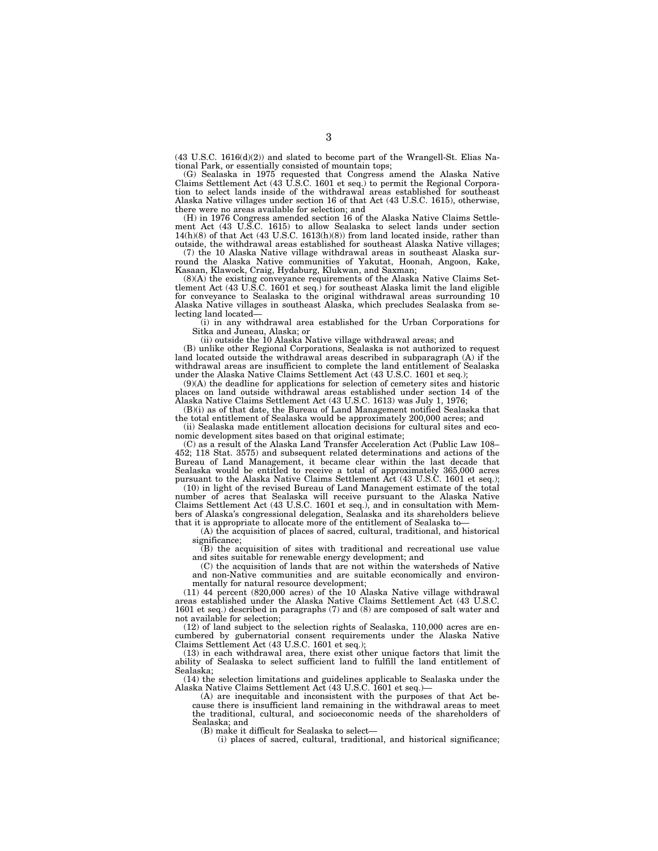(43 U.S.C. 1616(d)(2)) and slated to become part of the Wrangell-St. Elias National Park, or essentially consisted of mountain tops;

(G) Sealaska in 1975 requested that Congress amend the Alaska Native Claims Settlement Act (43 U.S.C. 1601 et seq.) to permit the Regional Corporation to select lands inside of the withdrawal areas established for southeast Alaska Native villages under section 16 of that Act (43 U.S.C. 1615), otherwise, there were no areas available for selection; and

 $(H)$  in 1976 Congress amended section 16 of the Alaska Native Claims Settlement Act (43 U.S.C. 1615) to allow Sealaska to select lands under section  $14(h)(8)$  of that Act (43 U.S.C. 1613(h)(8)) from land located inside, rather than outside, the withdrawal areas established for southeast Alaska Native villages;

(7) the 10 Alaska Native village withdrawal areas in southeast Alaska surround the Alaska Native communities of Yakutat, Hoonah, Angoon, Kake, Kasaan, Klawock, Craig, Hydaburg, Klukwan, and Saxman;

(8)(A) the existing conveyance requirements of the Alaska Native Claims Settlement Act (43 U.S.C. 1601 et seq.) for southeast Alaska limit the land eligible for conveyance to Sealaska to the original withdrawal areas surrounding 10 Alaska Native villages in southeast Alaska, which precludes Sealaska from selecting land located—

(i) in any withdrawal area established for the Urban Corporations for Sitka and Juneau, Alaska; or

(ii) outside the 10 Alaska Native village withdrawal areas; and

(B) unlike other Regional Corporations, Sealaska is not authorized to request land located outside the withdrawal areas described in subparagraph (A) if the withdrawal areas are insufficient to complete the land entitlement of Sealaska under the Alaska Native Claims Settlement Act (43 U.S.C. 1601 et seq.);

(9)(A) the deadline for applications for selection of cemetery sites and historic places on land outside withdrawal areas established under section 14 of the Alaska Native Claims Settlement Act (43 U.S.C. 1613) was July 1, 1976;

(B)(i) as of that date, the Bureau of Land Management notified Sealaska that the total entitlement of Sealaska would be approximately 200,000 acres; and

(ii) Sealaska made entitlement allocation decisions for cultural sites and economic development sites based on that original estimate;

(C) as a result of the Alaska Land Transfer Acceleration Act (Public Law 108– 452; 118 Stat. 3575) and subsequent related determinations and actions of the Bureau of Land Management, it became clear within the last decade that Sealaska would be entitled to receive a total of approximately 365,000 acres pursuant to the Alaska Native Claims Settlement Act (43 U.S.C. 1601 et seq.);

(10) in light of the revised Bureau of Land Management estimate of the total number of acres that Sealaska will receive pursuant to the Alaska Native Claims Settlement Act (43 U.S.C. 1601 et seq.), and in consultation with Members of Alaska's congressional delegation, Sealaska and its shareholders believe that it is appropriate to allocate more of the entitlement of Sealaska to—

(A) the acquisition of places of sacred, cultural, traditional, and historical significance;

(B) the acquisition of sites with traditional and recreational use value and sites suitable for renewable energy development; and

(C) the acquisition of lands that are not within the watersheds of Native and non-Native communities and are suitable economically and environmentally for natural resource development;

(11) 44 percent (820,000 acres) of the 10 Alaska Native village withdrawal areas established under the Alaska Native Claims Settlement Act (43 U.S.C. 1601 et seq.) described in paragraphs (7) and (8) are composed of salt water and not available for selection;

(12) of land subject to the selection rights of Sealaska, 110,000 acres are encumbered by gubernatorial consent requirements under the Alaska Native Claims Settlement Act (43 U.S.C. 1601 et seq.);

(13) in each withdrawal area, there exist other unique factors that limit the ability of Sealaska to select sufficient land to fulfill the land entitlement of Sealaska;

(14) the selection limitations and guidelines applicable to Sealaska under the Alaska Native Claims Settlement Act (43 U.S.C. 1601 et seq.)—

(A) are inequitable and inconsistent with the purposes of that Act because there is insufficient land remaining in the withdrawal areas to meet the traditional, cultural, and socioeconomic needs of the shareholders of Sealaska; and

(B) make it difficult for Sealaska to select—

(i) places of sacred, cultural, traditional, and historical significance;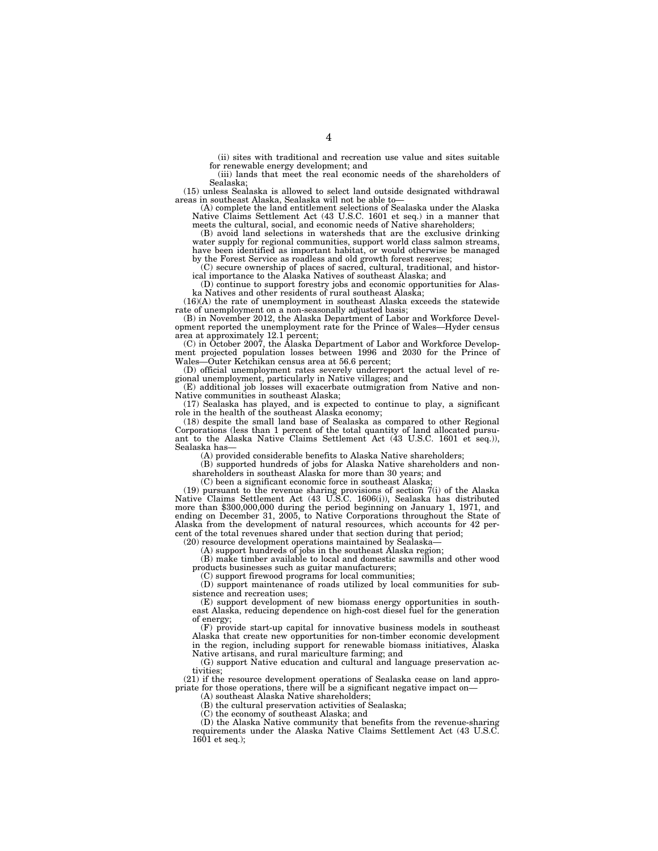(ii) sites with traditional and recreation use value and sites suitable for renewable energy development; and

(iii) lands that meet the real economic needs of the shareholders of Sealaska;

(15) unless Sealaska is allowed to select land outside designated withdrawal areas in southeast Alaska, Sealaska will not be able to—

(A) complete the land entitlement selections of Sealaska under the Alaska Native Claims Settlement Act (43 U.S.C. 1601 et seq.) in a manner that meets the cultural, social, and economic needs of Native shareholders;

(B) avoid land selections in watersheds that are the exclusive drinking water supply for regional communities, support world class salmon streams, have been identified as important habitat, or would otherwise be managed by the Forest Service as roadless and old growth forest reserves;

(C) secure ownership of places of sacred, cultural, traditional, and histor-ical importance to the Alaska Natives of southeast Alaska; and

(D) continue to support forestry jobs and economic opportunities for Alas-ka Natives and other residents of rural southeast Alaska;

(16)(A) the rate of unemployment in southeast Alaska exceeds the statewide rate of unemployment on a non-seasonally adjusted basis;

(B) in November 2012, the Alaska Department of Labor and Workforce Devel-opment reported the unemployment rate for the Prince of Wales—Hyder census area at approximately 12.1 percent;

(C) in October 2007, the Alaska Department of Labor and Workforce Development projected population losses between 1996 and 2030 for the Prince of Wales—Outer Ketchikan census area at 56.6 percent;

(D) official unemployment rates severely underreport the actual level of regional unemployment, particularly in Native villages; and

(E) additional job losses will exacerbate outmigration from Native and non-Native communities in southeast Alaska;

(17) Sealaska has played, and is expected to continue to play, a significant role in the health of the southeast Alaska economy;

(18) despite the small land base of Sealaska as compared to other Regional Corporations (less than 1 percent of the total quantity of land allocated pursuant to the Alaska Native Claims Settlement Act  $(43 \text{ U.S.C. } 1601 \text{ et } \text{seq}$ .) Sealaska has—

(A) provided considerable benefits to Alaska Native shareholders;

(B) supported hundreds of jobs for Alaska Native shareholders and nonshareholders in southeast Alaska for more than 30 years; and

(C) been a significant economic force in southeast Alaska;

(19) pursuant to the revenue sharing provisions of section  $7(i)$  of the Alaska Native Claims Settlement Act (43 U.S.C. 1606(i)), Sealaska has distributed more than \$300,000,000 during the period beginning on January 1, 1971, and ending on December 31, 2005, to Native Corporations throughout the State of Alaska from the development of natural resources, which accounts for 42 percent of the total revenues shared under that section during that period; (20) resource development operations maintained by Sealaska—

(A) support hundreds of jobs in the southeast Alaska region;

(B) make timber available to local and domestic sawmills and other wood products businesses such as guitar manufacturers;

(C) support firewood programs for local communities;

(D) support maintenance of roads utilized by local communities for subsistence and recreation uses;

(E) support development of new biomass energy opportunities in southeast Alaska, reducing dependence on high-cost diesel fuel for the generation of energy;

(F) provide start-up capital for innovative business models in southeast Alaska that create new opportunities for non-timber economic development in the region, including support for renewable biomass initiatives, Alaska Native artisans, and rural mariculture farming; and

(G) support Native education and cultural and language preservation activities;

(21) if the resource development operations of Sealaska cease on land appropriate for those operations, there will be a significant negative impact on—

(A) southeast Alaska Native shareholders;

(B) the cultural preservation activities of Sealaska;

(C) the economy of southeast Alaska; and

(D) the Alaska Native community that benefits from the revenue-sharing requirements under the Alaska Native Claims Settlement Act (43 U.S.C.  $1601$  et seq.);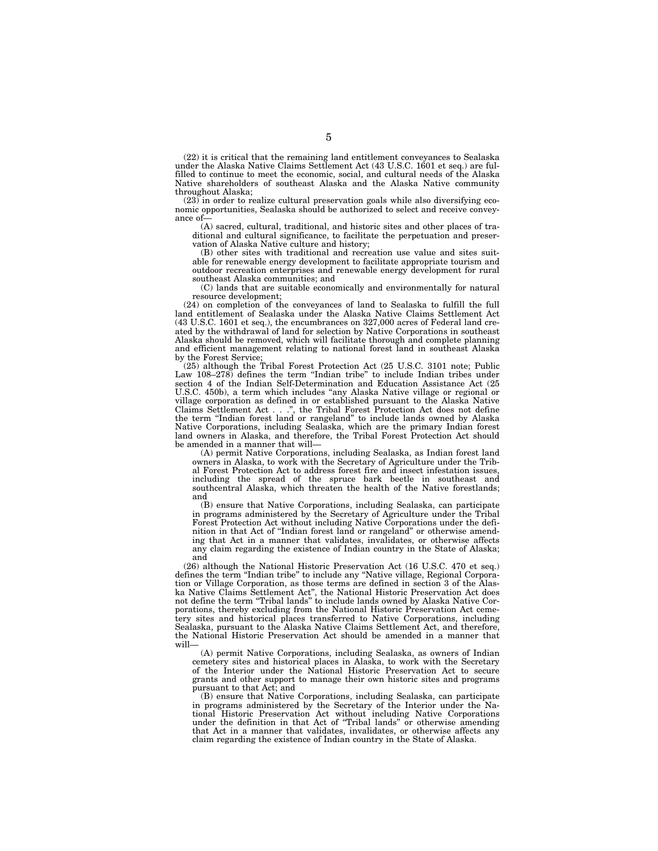(22) it is critical that the remaining land entitlement conveyances to Sealaska under the Alaska Native Claims Settlement Act (43 U.S.C. 1601 et seq.) are fulfilled to continue to meet the economic, social, and cultural needs of the Alaska Native shareholders of southeast Alaska and the Alaska Native community throughout Alaska;

(23) in order to realize cultural preservation goals while also diversifying economic opportunities, Sealaska should be authorized to select and receive conveyance of—

(A) sacred, cultural, traditional, and historic sites and other places of traditional and cultural significance, to facilitate the perpetuation and preservation of Alaska Native culture and history;

(B) other sites with traditional and recreation use value and sites suitable for renewable energy development to facilitate appropriate tourism and outdoor recreation enterprises and renewable energy development for rural southeast Alaska communities; and

(C) lands that are suitable economically and environmentally for natural resource development;

(24) on completion of the conveyances of land to Sealaska to fulfill the full land entitlement of Sealaska under the Alaska Native Claims Settlement Act (43 U.S.C. 1601 et seq.), the encumbrances on 327,000 acres of Federal land created by the withdrawal of land for selection by Native Corporations in southeast Alaska should be removed, which will facilitate thorough and complete planning and efficient management relating to national forest land in southeast Alaska by the Forest Service;

(25) although the Tribal Forest Protection Act (25 U.S.C. 3101 note; Public Law 108–278) defines the term ''Indian tribe'' to include Indian tribes under section 4 of the Indian Self-Determination and Education Assistance Act (25 U.S.C. 450b), a term which includes ''any Alaska Native village or regional or village corporation as defined in or established pursuant to the Alaska Native Claims Settlement Act . . .'', the Tribal Forest Protection Act does not define the term ''Indian forest land or rangeland'' to include lands owned by Alaska Native Corporations, including Sealaska, which are the primary Indian forest land owners in Alaska, and therefore, the Tribal Forest Protection Act should be amended in a manner that will—

(A) permit Native Corporations, including Sealaska, as Indian forest land owners in Alaska, to work with the Secretary of Agriculture under the Tribal Forest Protection Act to address forest fire and insect infestation issues, including the spread of the spruce bark beetle in southeast and southcentral Alaska, which threaten the health of the Native forestlands; and

(B) ensure that Native Corporations, including Sealaska, can participate in programs administered by the Secretary of Agriculture under the Tribal Forest Protection Act without including Native Corporations under the definition in that Act of ''Indian forest land or rangeland'' or otherwise amending that Act in a manner that validates, invalidates, or otherwise affects any claim regarding the existence of Indian country in the State of Alaska; and

(26) although the National Historic Preservation Act (16 U.S.C. 470 et seq.) defines the term ''Indian tribe'' to include any ''Native village, Regional Corporation or Village Corporation, as those terms are defined in section 3 of the Alaska Native Claims Settlement Act'', the National Historic Preservation Act does not define the term ''Tribal lands'' to include lands owned by Alaska Native Corporations, thereby excluding from the National Historic Preservation Act cemetery sites and historical places transferred to Native Corporations, including Sealaska, pursuant to the Alaska Native Claims Settlement Act, and therefore, the National Historic Preservation Act should be amended in a manner that will-

(A) permit Native Corporations, including Sealaska, as owners of Indian cemetery sites and historical places in Alaska, to work with the Secretary of the Interior under the National Historic Preservation Act to secure grants and other support to manage their own historic sites and programs pursuant to that Act; and

(B) ensure that Native Corporations, including Sealaska, can participate in programs administered by the Secretary of the Interior under the Na-tional Historic Preservation Act without including Native Corporations under the definition in that Act of ''Tribal lands'' or otherwise amending that Act in a manner that validates, invalidates, or otherwise affects any claim regarding the existence of Indian country in the State of Alaska.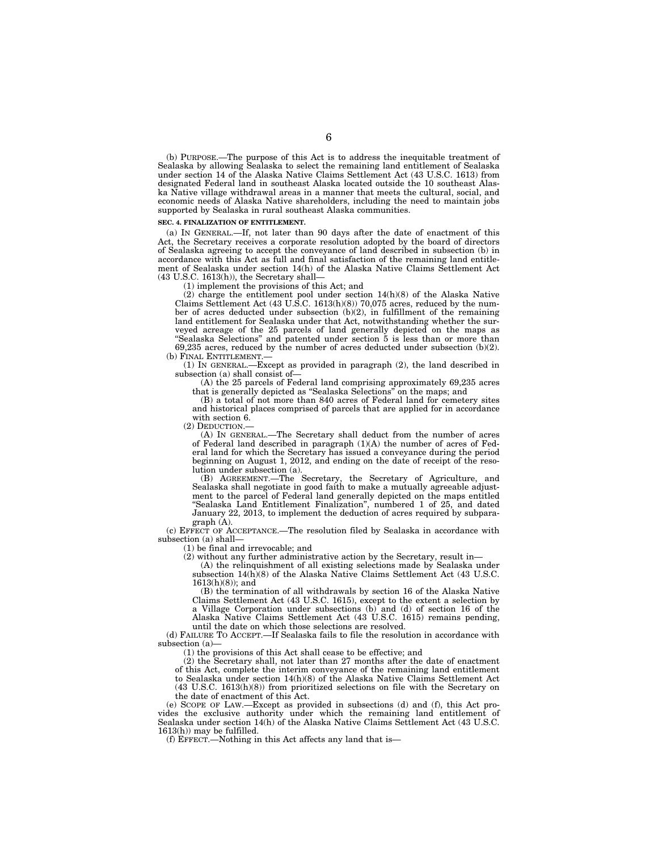(b) PURPOSE.—The purpose of this Act is to address the inequitable treatment of Sealaska by allowing Sealaska to select the remaining land entitlement of Sealaska under section 14 of the Alaska Native Claims Settlement Act (43 U.S.C. 1613) from designated Federal land in southeast Alaska located outside the 10 southeast Alaska Native village withdrawal areas in a manner that meets the cultural, social, and economic needs of Alaska Native shareholders, including the need to maintain jobs supported by Sealaska in rural southeast Alaska communities.

#### **SEC. 4. FINALIZATION OF ENTITLEMENT.**

(a) IN GENERAL.—If, not later than 90 days after the date of enactment of this Act, the Secretary receives a corporate resolution adopted by the board of directors of Sealaska agreeing to accept the conveyance of land described in subsection (b) in accordance with this Act as full and final satisfaction of the remaining land entitlement of Sealaska under section 14(h) of the Alaska Native Claims Settlement Act (43 U.S.C. 1613(h)), the Secretary shall—

(1) implement the provisions of this Act; and

(2) charge the entitlement pool under section 14(h)(8) of the Alaska Native Claims Settlement Act (43 U.S.C. 1613(h)(8)) 70,075 acres, reduced by the number of acres deducted under subsection  $(b)(2)$ , in fulfillment of the remaining land entitlement for Sealaska under that Act, notwithstanding whether the surveyed acreage of the 25 parcels of land generally depicted on the maps as ''Sealaska Selections'' and patented under section 5 is less than or more than 69,235 acres, reduced by the number of acres deducted under subsection (b)(2). (b) FINAL ENTITLEMENT.—

(1) IN GENERAL.—Except as provided in paragraph (2), the land described in subsection (a) shall consist of—

(A) the 25 parcels of Federal land comprising approximately 69,235 acres that is generally depicted as ''Sealaska Selections'' on the maps; and

(B) a total of not more than 840 acres of Federal land for cemetery sites and historical places comprised of parcels that are applied for in accordance with section 6.

(2) DEDUCTION.—

(A) IN GENERAL.—The Secretary shall deduct from the number of acres of Federal land described in paragraph (1)(A) the number of acres of Federal land for which the Secretary has issued a conveyance during the period beginning on August 1, 2012, and ending on the date of receipt of the resolution under subsection (a).

(B) AGREEMENT.—The Secretary, the Secretary of Agriculture, and Sealaska shall negotiate in good faith to make a mutually agreeable adjustment to the parcel of Federal land generally depicted on the maps entitled ''Sealaska Land Entitlement Finalization'', numbered 1 of 25, and dated January 22, 2013, to implement the deduction of acres required by subparagraph (A).

(c) EFFECT OF ACCEPTANCE.—The resolution filed by Sealaska in accordance with subsection (a) shall—

(1) be final and irrevocable; and

(2) without any further administrative action by the Secretary, result in—

(A) the relinquishment of all existing selections made by Sealaska under subsection 14(h)(8) of the Alaska Native Claims Settlement Act (43 U.S.C. 1613(h)(8)); and

(B) the termination of all withdrawals by section 16 of the Alaska Native Claims Settlement Act (43 U.S.C. 1615), except to the extent a selection by a Village Corporation under subsections (b) and (d) of section 16 of the Alaska Native Claims Settlement Act (43 U.S.C. 1615) remains pending, until the date on which those selections are resolved.

(d) FAILURE TO ACCEPT.—If Sealaska fails to file the resolution in accordance with subsection (a)—

(1) the provisions of this Act shall cease to be effective; and

(2) the Secretary shall, not later than 27 months after the date of enactment of this Act, complete the interim conveyance of the remaining land entitlement to Sealaska under section 14(h)(8) of the Alaska Native Claims Settlement Act (43 U.S.C. 1613(h)(8)) from prioritized selections on file with the Secretary on the date of enactment of this Act.

(e) SCOPE OF LAW.—Except as provided in subsections (d) and (f), this Act provides the exclusive authority under which the remaining land entitlement of Sealaska under section 14(h) of the Alaska Native Claims Settlement Act (43 U.S.C. 1613(h)) may be fulfilled.

(f) EFFECT.—Nothing in this Act affects any land that is—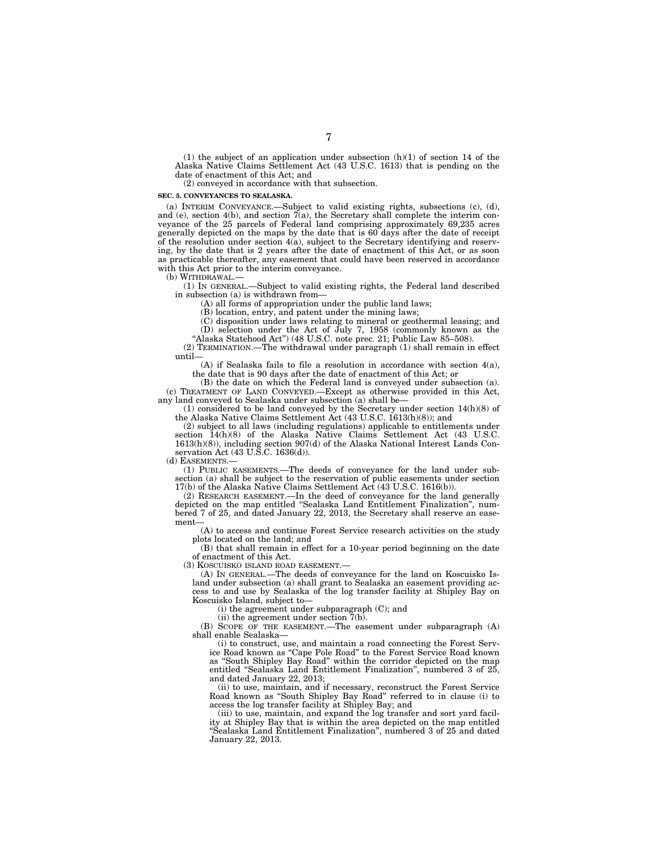(1) the subject of an application under subsection (h)(1) of section 14 of the Alaska Native Claims Settlement Act (43 U.S.C. 1613) that is pending on the date of enactment of this Act; and

(2) conveyed in accordance with that subsection.

#### **SEC. 5. CONVEYANCES TO SEALASKA.**

(a) INTERIM CONVEYANCE.—Subject to valid existing rights, subsections (c), (d), and (e), section 4(b), and section  $\vec{7}$ (a), the Secretary shall complete the interim conveyance of the 25 parcels of Federal land comprising approximately 69,235 acres generally depicted on the maps by the date that is 60 days after the date of receipt of the resolution under section 4(a), subject to the Secretary identifying and reserving, by the date that is 2 years after the date of enactment of this Act, or as soon as practicable thereafter, any easement that could have been reserved in accordance with this Act prior to the interim conveyance.

(b) WITHDRAWAL.—

(1) IN GENERAL.—Subject to valid existing rights, the Federal land described in subsection (a) is withdrawn from—

(A) all forms of appropriation under the public land laws;

(B) location, entry, and patent under the mining laws;

(C) disposition under laws relating to mineral or geothermal leasing; and (D) selection under the Act of July 7, 1958 (commonly known as the

"Alaska Statehood Act") (48 U.S.C. note prec. 21; Public Law 85–508).

(2) TERMINATION.—The withdrawal under paragraph (1) shall remain in effect until—

(A) if Sealaska fails to file a resolution in accordance with section 4(a), the date that is 90 days after the date of enactment of this Act; or

(B) the date on which the Federal land is conveyed under subsection (a). (c) TREATMENT OF LAND CONVEYED.—Except as otherwise provided in this Act, any land conveyed to Sealaska under subsection (a) shall be—

(1) considered to be land conveyed by the Secretary under section 14(h)(8) of the Alaska Native Claims Settlement Act (43 U.S.C. 1613(h)(8)); and

(2) subject to all laws (including regulations) applicable to entitlements under section 14(h)(8) of the Alaska Native Claims Settlement Act (43 U.S.C. 1613(h)(8)), including section 907(d) of the Alaska National Interest Lands Conservation Act (43 U.S.C. 1636(d)).

(d) EASEMENTS.—

(1) PUBLIC EASEMENTS.—The deeds of conveyance for the land under subsection (a) shall be subject to the reservation of public easements under section 17(b) of the Alaska Native Claims Settlement Act (43 U.S.C. 1616(b)).

(2) RESEARCH EASEMENT.—In the deed of conveyance for the land generally depicted on the map entitled ''Sealaska Land Entitlement Finalization'', numbered 7 of 25, and dated January 22, 2013, the Secretary shall reserve an easement-

(A) to access and continue Forest Service research activities on the study plots located on the land; and

(B) that shall remain in effect for a 10-year period beginning on the date of enactment of this Act.

 $(3)$  KOSCUISKO ISLAND ROAD EASEMENT -

(A) IN GENERAL.—The deeds of conveyance for the land on Koscuisko Island under subsection (a) shall grant to Sealaska an easement providing access to and use by Sealaska of the log transfer facility at Shipley Bay on Koscuisko Island, subject to—

(i) the agreement under subparagraph (C); and

(ii) the agreement under section  $7(b)$ .

(B) SCOPE OF THE EASEMENT.—The easement under subparagraph (A) shall enable Sealaska—

(i) to construct, use, and maintain a road connecting the Forest Service Road known as ''Cape Pole Road'' to the Forest Service Road known as ''South Shipley Bay Road'' within the corridor depicted on the map entitled "Sealaska Land Entitlement Finalization", numbered 3 of 25, and dated January 22, 2013;

(ii) to use, maintain, and if necessary, reconstruct the Forest Service Road known as ''South Shipley Bay Road'' referred to in clause (i) to access the log transfer facility at Shipley Bay; and

(iii) to use, maintain, and expand the log transfer and sort yard facility at Shipley Bay that is within the area depicted on the map entitled ''Sealaska Land Entitlement Finalization'', numbered 3 of 25 and dated January 22, 2013.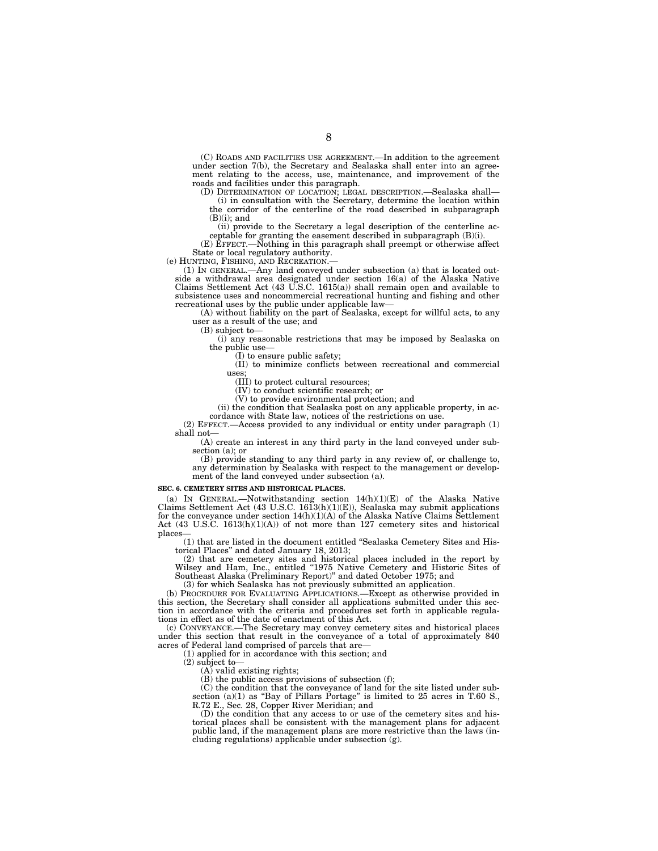(C) ROADS AND FACILITIES USE AGREEMENT.—In addition to the agreement under section 7(b), the Secretary and Sealaska shall enter into an agreement relating to the access, use, maintenance, and improvement of the roads and facilities under this paragraph.

(D) DETERMINATION OF LOCATION; LEGAL DESCRIPTION.—Sealaska shall— (i) in consultation with the Secretary, determine the location within the corridor of the centerline of the road described in subparagraph  $(B)(i)$ ; and

(ii) provide to the Secretary a legal description of the centerline acceptable for granting the easement described in subparagraph (B)(i).

(E) EFFECT.—Nothing in this paragraph shall preempt or otherwise affect State or local regulatory authority.

(e) HUNTING, FISHING, AND RECREATION.—

(1) IN GENERAL.—Any land conveyed under subsection (a) that is located outside a withdrawal area designated under section 16(a) of the Alaska Native Claims Settlement Act (43 U.S.C. 1615(a)) shall remain open and available to subsistence uses and noncommercial recreational hunting and fishing and other recreational uses by the public under applicable law—

(A) without liability on the part of Sealaska, except for willful acts, to any user as a result of the use; and

(B) subject to—

(i) any reasonable restrictions that may be imposed by Sealaska on the public use-

(I) to ensure public safety;

(II) to minimize conflicts between recreational and commercial use

(III) to protect cultural resources;

(IV) to conduct scientific research; or

(V) to provide environmental protection; and

(ii) the condition that Sealaska post on any applicable property, in accordance with State law, notices of the restrictions on use.

(2) EFFECT.—Access provided to any individual or entity under paragraph (1) shall not—

(A) create an interest in any third party in the land conveyed under subsection (a); or

(B) provide standing to any third party in any review of, or challenge to, any determination by Sealaska with respect to the management or development of the land conveyed under subsection (a).

#### **SEC. 6. CEMETERY SITES AND HISTORICAL PLACES.**

(a) IN GENERAL.—Notwithstanding section  $14(h)(1)(E)$  of the Alaska Native Claims Settlement Act  $(43 \text{ U.S.C. } 1613(h)(1)(E))$ , Sealaska may submit applications for the conveyance under section  $14(h)(1)(A)$  of the Alaska Native Claims Settlement Act (43 U.S.C. 1613(h)(1)(A)) of not more than 127 cemetery sites and historical places

(1) that are listed in the document entitled ''Sealaska Cemetery Sites and Historical Places'' and dated January 18, 2013;

(2) that are cemetery sites and historical places included in the report by Wilsey and Ham, Inc., entitled ''1975 Native Cemetery and Historic Sites of Southeast Alaska (Preliminary Report)'' and dated October 1975; and

(3) for which Sealaska has not previously submitted an application.

(b) PROCEDURE FOR EVALUATING APPLICATIONS.—Except as otherwise provided in this section, the Secretary shall consider all applications submitted under this section in accordance with the criteria and procedures set forth in applicable regulations in effect as of the date of enactment of this Act.

(c) CONVEYANCE.—The Secretary may convey cemetery sites and historical places under this section that result in the conveyance of a total of approximately 840 acres of Federal land comprised of parcels that are—

(1) applied for in accordance with this section; and

 $(2)$  subject to

(A) valid existing rights;

(B) the public access provisions of subsection (f);

(C) the condition that the conveyance of land for the site listed under subsection  $(a)(1)$  as "Bay of Pillars Portage" is limited to 25 acres in T.60 S.,

R.72 E., Sec. 28, Copper River Meridian; and (D) the condition that any access to or use of the cemetery sites and historical places shall be consistent with the management plans for adjacent public land, if the management plans are more restrictive than the laws (including regulations) applicable under subsection (g).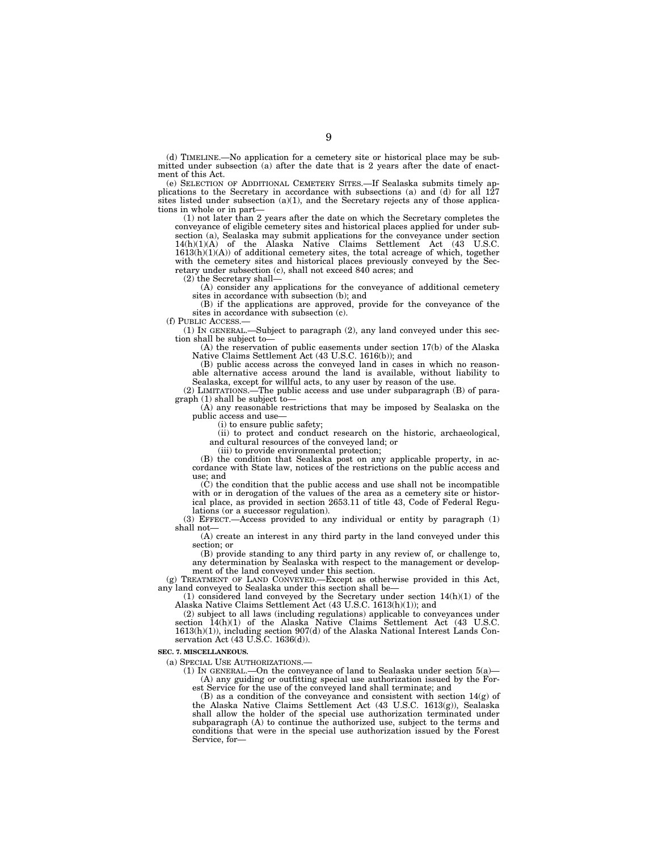(d) TIMELINE.—No application for a cemetery site or historical place may be submitted under subsection (a) after the date that is 2 years after the date of enactment of this Act.

(e) SELECTION OF ADDITIONAL CEMETERY SITES.—If Sealaska submits timely applications to the Secretary in accordance with subsections (a) and (d) for all 127 sites listed under subsection (a)(1), and the Secretary rejects any of those applications in whole or in part—

(1) not later than 2 years after the date on which the Secretary completes the conveyance of eligible cemetery sites and historical places applied for under subsection (a), Sealaska may submit applications for the conveyance under section 14(h)(1)(A) of the Alaska Native Claims Settlement Act (43 U.S.C.  $1613(h)(1)(A)$  of additional cemetery sites, the total acreage of which, together with the cemetery sites and historical places previously conveyed by the Secretary under subsection (c), shall not exceed 840 acres; and

(2) the Secretary shall—

(A) consider any applications for the conveyance of additional cemetery sites in accordance with subsection (b); and

(B) if the applications are approved, provide for the conveyance of the sites in accordance with subsection (c).

(f) PUBLIC ACCESS.—

(1) IN GENERAL.—Subject to paragraph (2), any land conveyed under this section shall be subject to—

(A) the reservation of public easements under section 17(b) of the Alaska Native Claims Settlement Act (43 U.S.C. 1616(b)); and

(B) public access across the conveyed land in cases in which no reasonable alternative access around the land is available, without liability to Sealaska, except for willful acts, to any user by reason of the use. (2) LIMITATIONS.—The public access and use under subparagraph (B) of para-

graph (1) shall be subject to—

(A) any reasonable restrictions that may be imposed by Sealaska on the public access and use—

(i) to ensure public safety;

(ii) to protect and conduct research on the historic, archaeological, and cultural resources of the conveyed land; or

(iii) to provide environmental protection;

(B) the condition that Sealaska post on any applicable property, in accordance with State law, notices of the restrictions on the public access and use; and

 $(\hat{C})$  the condition that the public access and use shall not be incompatible with or in derogation of the values of the area as a cemetery site or historical place, as provided in section 2653.11 of title 43, Code of Federal Regulations (or a successor regulation).

(3) EFFECT.—Access provided to any individual or entity by paragraph (1) shall not—

(A) create an interest in any third party in the land conveyed under this section; or

(B) provide standing to any third party in any review of, or challenge to, any determination by Sealaska with respect to the management or development of the land conveyed under this section.

(g) TREATMENT OF LAND CONVEYED.—Except as otherwise provided in this Act, any land conveyed to Sealaska under this section shall be—

(1) considered land conveyed by the Secretary under section 14(h)(1) of the Alaska Native Claims Settlement Act (43 U.S.C. 1613(h)(1)); and

(2) subject to all laws (including regulations) applicable to conveyances under section 14(h)(1) of the Alaska Native Claims Settlement Act (43 U.S.C. 1613(h)(1)), including section 907(d) of the Alaska National Interest Lands Conservation Act (43 U.S.C. 1636(d)).

### **SEC. 7. MISCELLANEOUS.**

(a) SPECIAL USE AUTHORIZATIONS.—

(1) IN GENERAL.—On the conveyance of land to Sealaska under section  $5(a)$ — (A) any guiding or outfitting special use authorization issued by the Forest Service for the use of the conveyed land shall terminate; and

(B) as a condition of the conveyance and consistent with section 14(g) of the Alaska Native Claims Settlement Act (43 U.S.C. 1613(g)), Sealaska shall allow the holder of the special use authorization terminated under subparagraph (A) to continue the authorized use, subject to the terms and conditions that were in the special use authorization issued by the Forest Service, for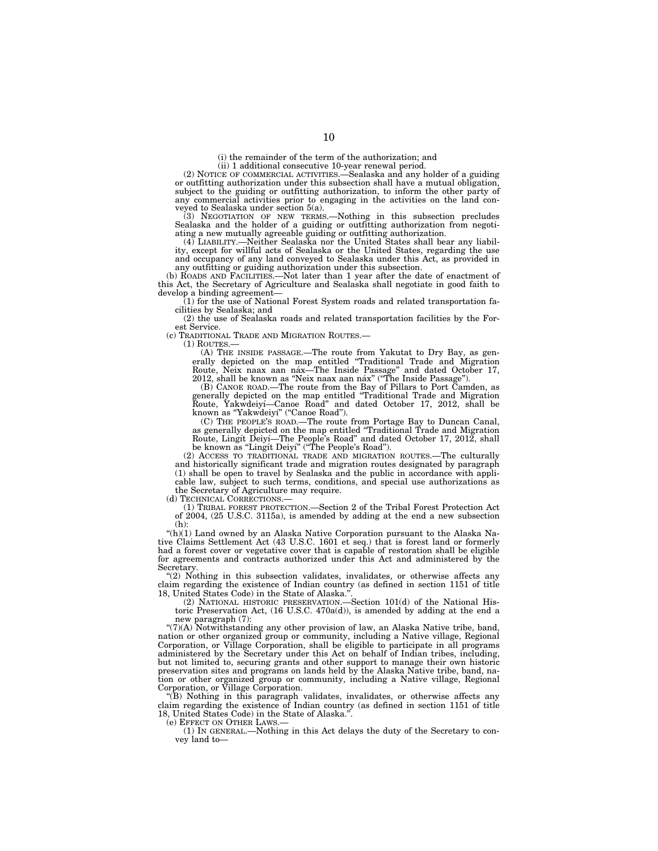(i) the remainder of the term of the authorization; and

(ii) 1 additional consecutive 10-year renewal period. (2) NOTICE OF COMMERCIAL ACTIVITIES.—Sealaska and any holder of a guiding or outfitting authorization under this subsection shall have a mutual obligation, subject to the guiding or outfitting authorization, to inform the other party of any commercial activities prior to engaging in the activities on the land conveyed to Sealaska under section 5(a).

(3) NEGOTIATION OF NEW TERMS.—Nothing in this subsection precludes Sealaska and the holder of a guiding or outfitting authorization from negoti-

ating a new mutually agreeable guiding or outfitting authorization. (4) LIABILITY.—Neither Sealaska nor the United States shall bear any liability, except for willful acts of Sealaska or the United States, regarding the use and occupancy of any land conveyed to Sealaska under this Act, as provided in

any outfitting or guiding authorization under this subsection. (b) ROADS AND FACILITIES.—Not later than 1 year after the date of enactment of this Act, the Secretary of Agriculture and Sealaska shall negotiate in good faith to develop a binding agreement-

(1) for the use of National Forest System roads and related transportation facilities by Sealaska; and

(2) the use of Sealaska roads and related transportation facilities by the Forest Service.

(c) TRADITIONAL TRADE AND MIGRATION ROUTES.—

 $(1)$  ROUTES.

(A) THE INSIDE PASSAGE.—The route from Yakutat to Dry Bay, as generally depicted on the map entitled "Traditional Trade and Migration<br>Route, Neix naax aan náx—The Inside Passage" and dated October 17, 2012, shall be known as "Neix naax aan náx" ("The Inside Passage").

(B) CANOE ROAD.—The route from the Bay of Pillars to Port Camden, as generally depicted on the map entitled "Traditional Trade and Migration<br>Route, Yakwdeiyí—Canoe Road" and dated October 17, 2012, shall be known as ''Yakwdeiyı´'' (''Canoe Road'').

(C) THE PEOPLE'S ROAD.—The route from Portage Bay to Duncan Canal, as generally depicted on the map entitled ''Traditional Trade and Migration Route, Lingit Deiyi—The People's Road" and dated October 17, 2012, shall be known as ''Lingı´t Deiyı´'' (''The People's Road'').

(2) ACCESS TO TRADITIONAL TRADE AND MIGRATION ROUTES.—The culturally and historically significant trade and migration routes designated by paragraph (1) shall be open to travel by Sealaska and the public in accordance with applicable law, subject to such terms, conditions, and special use authorizations as

the Secretary of Agriculture may require.

(d) TECHNICAL CORRECTIONS.— (1) TRIBAL FOREST PROTECTION.—Section 2 of the Tribal Forest Protection Act

of 2004, (25 U.S.C. 3115a), is amended by adding at the end a new subsection (h):

 $\ln(h)(1)$  Land owned by an Alaska Native Corporation pursuant to the Alaska Native Claims Settlement Act (43 U.S.C. 1601 et seq.) that is forest land or formerly had a forest cover or vegetative cover that is capable of restoration shall be eligible for agreements and contracts authorized under this Act and administered by the Secretary.

''(2) Nothing in this subsection validates, invalidates, or otherwise affects any claim regarding the existence of Indian country (as defined in section 1151 of title 18. United States Code) in the State of Alaska.'

(2) NATIONAL HISTORIC PRESERVATION.—Section 101(d) of the National Historic Preservation Act, (16 U.S.C. 470a(d)), is amended by adding at the end a new paragraph (7):

''(7)(A) Notwithstanding any other provision of law, an Alaska Native tribe, band, nation or other organized group or community, including a Native village, Regional Corporation, or Village Corporation, shall be eligible to participate in all programs administered by the Secretary under this Act on behalf of Indian tribes, including, but not limited to, securing grants and other support to manage their own historic preservation sites and programs on lands held by the Alaska Native tribe, band, nation or other organized group or community, including a Native village, Regional Corporation, or Village Corporation.

''(B) Nothing in this paragraph validates, invalidates, or otherwise affects any claim regarding the existence of Indian country (as defined in section 1151 of title 18, United States Code) in the State of Alaska.

(e) EFFECT ON OTHER LAWS.—

(1) IN GENERAL.—Nothing in this Act delays the duty of the Secretary to convey land to—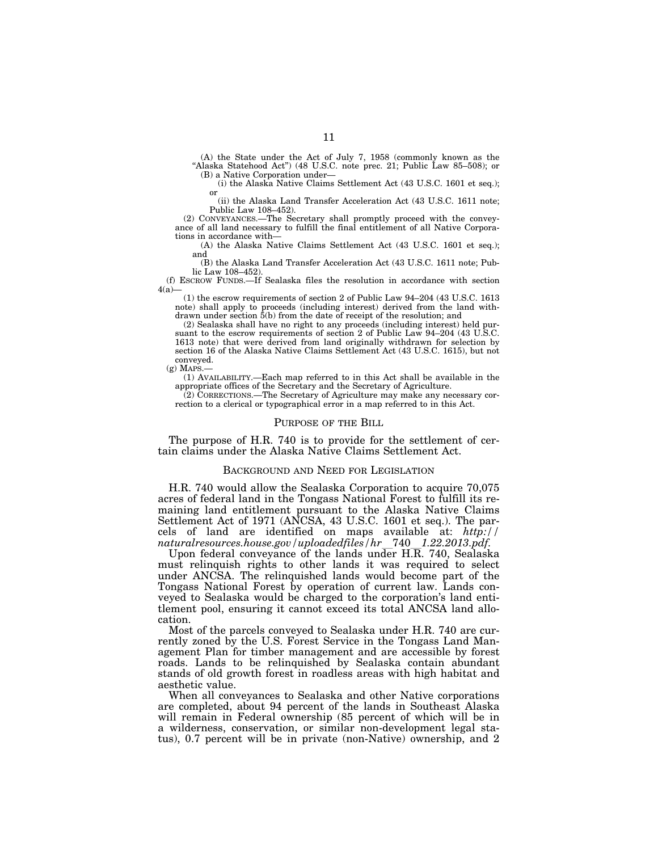(A) the State under the Act of July 7, 1958 (commonly known as the "Alaska Statehood Act") (48 U.S.C. note prec. 21; Public Law 85-508); or (B) a Native Corporation under—

(i) the Alaska Native Claims Settlement Act (43 U.S.C. 1601 et seq.); or

(ii) the Alaska Land Transfer Acceleration Act (43 U.S.C. 1611 note; Public Law 108–452).

(2) CONVEYANCES.—The Secretary shall promptly proceed with the conveyance of all land necessary to fulfill the final entitlement of all Native Corporations in accordance with—

(A) the Alaska Native Claims Settlement Act (43 U.S.C. 1601 et seq.); and

(B) the Alaska Land Transfer Acceleration Act (43 U.S.C. 1611 note; Public Law 108–452).

(f) ESCROW FUNDS.—If Sealaska files the resolution in accordance with section  $4(a)$ 

(1) the escrow requirements of section 2 of Public Law 94–204 (43 U.S.C. 1613 note) shall apply to proceeds (including interest) derived from the land withdrawn under section 5(b) from the date of receipt of the resolution; and

(2) Sealaska shall have no right to any proceeds (including interest) held pursuant to the escrow requirements of section 2 of Public Law 94–204 (43 U.S.C. 1613 note) that were derived from land originally withdrawn for selection by section 16 of the Alaska Native Claims Settlement Act (43 U.S.C. 1615), but not conveyed.

 $(g)$  MAPS.-

(1) AVAILABILITY.—Each map referred to in this Act shall be available in the appropriate offices of the Secretary and the Secretary of Agriculture.

(2) CORRECTIONS.—The Secretary of Agriculture may make any necessary correction to a clerical or typographical error in a map referred to in this Act.

### PURPOSE OF THE BILL

The purpose of H.R. 740 is to provide for the settlement of certain claims under the Alaska Native Claims Settlement Act.

### BACKGROUND AND NEED FOR LEGISLATION

H.R. 740 would allow the Sealaska Corporation to acquire 70,075 acres of federal land in the Tongass National Forest to fulfill its remaining land entitlement pursuant to the Alaska Native Claims Settlement Act of 1971 (ANCSA, 43 U.S.C. 1601 et seq.). The parcels of land are identified on maps available at: *http:// naturalresources.house.gov/uploadedfiles/hr*<sub>1740</sub> 1.22.2013.pdf.<br>
Upon federal conveyance of the lands under H.R. 740. Sealask

Upon federal conveyance of the lands under H.R. 740, Sealaska must relinquish rights to other lands it was required to select under ANCSA. The relinquished lands would become part of the Tongass National Forest by operation of current law. Lands conveyed to Sealaska would be charged to the corporation's land entitlement pool, ensuring it cannot exceed its total ANCSA land allocation.

Most of the parcels conveyed to Sealaska under H.R. 740 are currently zoned by the U.S. Forest Service in the Tongass Land Management Plan for timber management and are accessible by forest roads. Lands to be relinquished by Sealaska contain abundant stands of old growth forest in roadless areas with high habitat and aesthetic value.

When all conveyances to Sealaska and other Native corporations are completed, about 94 percent of the lands in Southeast Alaska will remain in Federal ownership (85 percent of which will be in a wilderness, conservation, or similar non-development legal status), 0.7 percent will be in private (non-Native) ownership, and 2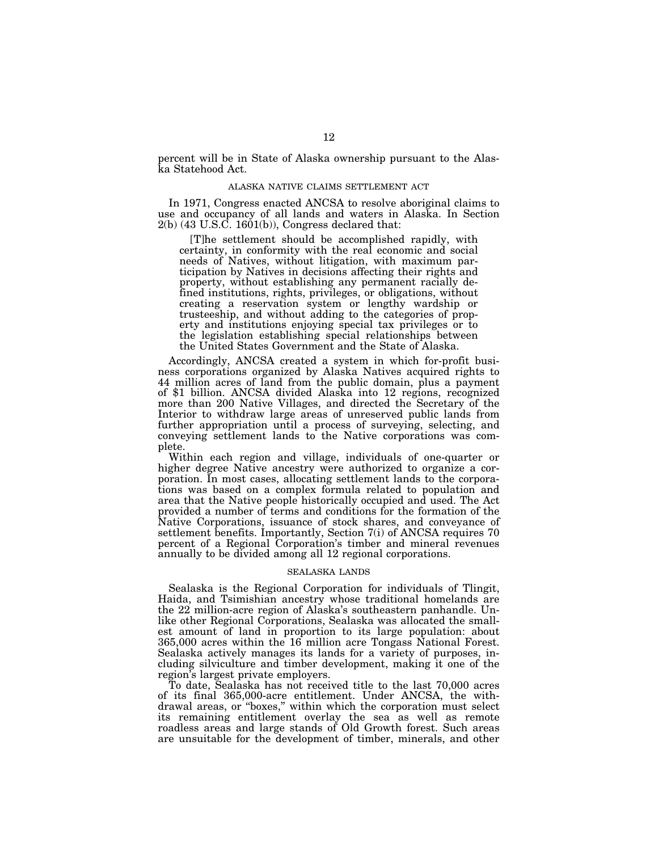percent will be in State of Alaska ownership pursuant to the Alaska Statehood Act.

### ALASKA NATIVE CLAIMS SETTLEMENT ACT

In 1971, Congress enacted ANCSA to resolve aboriginal claims to use and occupancy of all lands and waters in Alaska. In Section  $2(b)$  (43 U.S.C. 1601(b)), Congress declared that:

[T]he settlement should be accomplished rapidly, with certainty, in conformity with the real economic and social needs of Natives, without litigation, with maximum participation by Natives in decisions affecting their rights and property, without establishing any permanent racially defined institutions, rights, privileges, or obligations, without creating a reservation system or lengthy wardship or trusteeship, and without adding to the categories of property and institutions enjoying special tax privileges or to the legislation establishing special relationships between the United States Government and the State of Alaska.

Accordingly, ANCSA created a system in which for-profit business corporations organized by Alaska Natives acquired rights to 44 million acres of land from the public domain, plus a payment of \$1 billion. ANCSA divided Alaska into 12 regions, recognized more than 200 Native Villages, and directed the Secretary of the Interior to withdraw large areas of unreserved public lands from further appropriation until a process of surveying, selecting, and conveying settlement lands to the Native corporations was complete.

Within each region and village, individuals of one-quarter or higher degree Native ancestry were authorized to organize a corporation. In most cases, allocating settlement lands to the corporations was based on a complex formula related to population and area that the Native people historically occupied and used. The Act provided a number of terms and conditions for the formation of the Native Corporations, issuance of stock shares, and conveyance of settlement benefits. Importantly, Section 7(i) of ANCSA requires 70 percent of a Regional Corporation's timber and mineral revenues annually to be divided among all 12 regional corporations.

### SEALASKA LANDS

Sealaska is the Regional Corporation for individuals of Tlingit, Haida, and Tsimishian ancestry whose traditional homelands are the 22 million-acre region of Alaska's southeastern panhandle. Unlike other Regional Corporations, Sealaska was allocated the smallest amount of land in proportion to its large population: about 365,000 acres within the 16 million acre Tongass National Forest. Sealaska actively manages its lands for a variety of purposes, including silviculture and timber development, making it one of the region's largest private employers.

To date, Sealaska has not received title to the last 70,000 acres of its final 365,000-acre entitlement. Under ANCSA, the withdrawal areas, or ''boxes,'' within which the corporation must select its remaining entitlement overlay the sea as well as remote roadless areas and large stands of Old Growth forest. Such areas are unsuitable for the development of timber, minerals, and other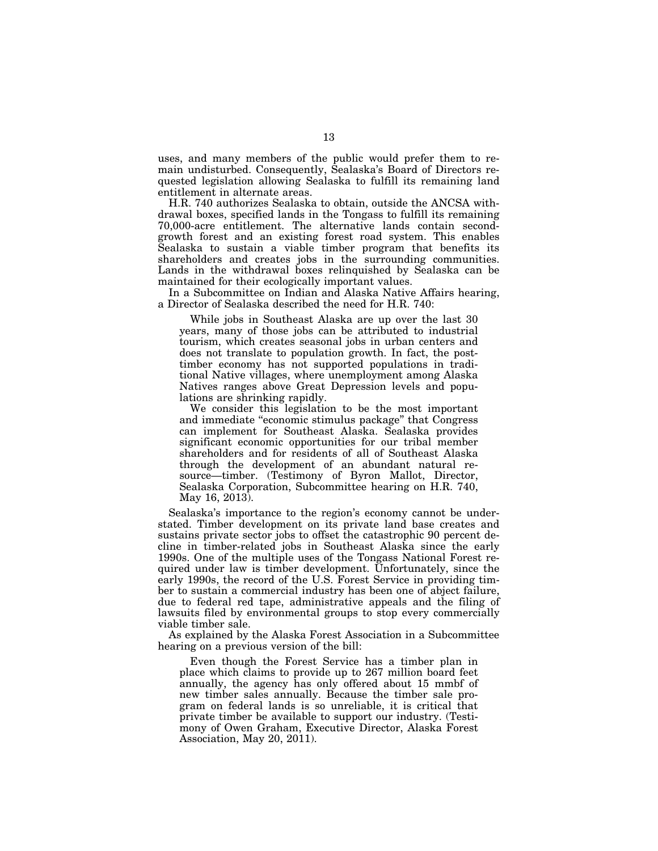uses, and many members of the public would prefer them to remain undisturbed. Consequently, Sealaska's Board of Directors requested legislation allowing Sealaska to fulfill its remaining land entitlement in alternate areas.

H.R. 740 authorizes Sealaska to obtain, outside the ANCSA withdrawal boxes, specified lands in the Tongass to fulfill its remaining 70,000-acre entitlement. The alternative lands contain secondgrowth forest and an existing forest road system. This enables Sealaska to sustain a viable timber program that benefits its shareholders and creates jobs in the surrounding communities. Lands in the withdrawal boxes relinquished by Sealaska can be maintained for their ecologically important values.

In a Subcommittee on Indian and Alaska Native Affairs hearing, a Director of Sealaska described the need for H.R. 740:

While jobs in Southeast Alaska are up over the last 30 years, many of those jobs can be attributed to industrial tourism, which creates seasonal jobs in urban centers and does not translate to population growth. In fact, the posttimber economy has not supported populations in traditional Native villages, where unemployment among Alaska Natives ranges above Great Depression levels and populations are shrinking rapidly.

We consider this legislation to be the most important and immediate "economic stimulus package" that Congress can implement for Southeast Alaska. Sealaska provides significant economic opportunities for our tribal member shareholders and for residents of all of Southeast Alaska through the development of an abundant natural resource—timber. (Testimony of Byron Mallot, Director, Sealaska Corporation, Subcommittee hearing on H.R. 740, May 16, 2013).

Sealaska's importance to the region's economy cannot be understated. Timber development on its private land base creates and sustains private sector jobs to offset the catastrophic 90 percent decline in timber-related jobs in Southeast Alaska since the early 1990s. One of the multiple uses of the Tongass National Forest required under law is timber development. Unfortunately, since the early 1990s, the record of the U.S. Forest Service in providing timber to sustain a commercial industry has been one of abject failure, due to federal red tape, administrative appeals and the filing of lawsuits filed by environmental groups to stop every commercially viable timber sale.

As explained by the Alaska Forest Association in a Subcommittee hearing on a previous version of the bill:

Even though the Forest Service has a timber plan in place which claims to provide up to 267 million board feet annually, the agency has only offered about 15 mmbf of new timber sales annually. Because the timber sale program on federal lands is so unreliable, it is critical that private timber be available to support our industry. (Testimony of Owen Graham, Executive Director, Alaska Forest Association, May 20, 2011).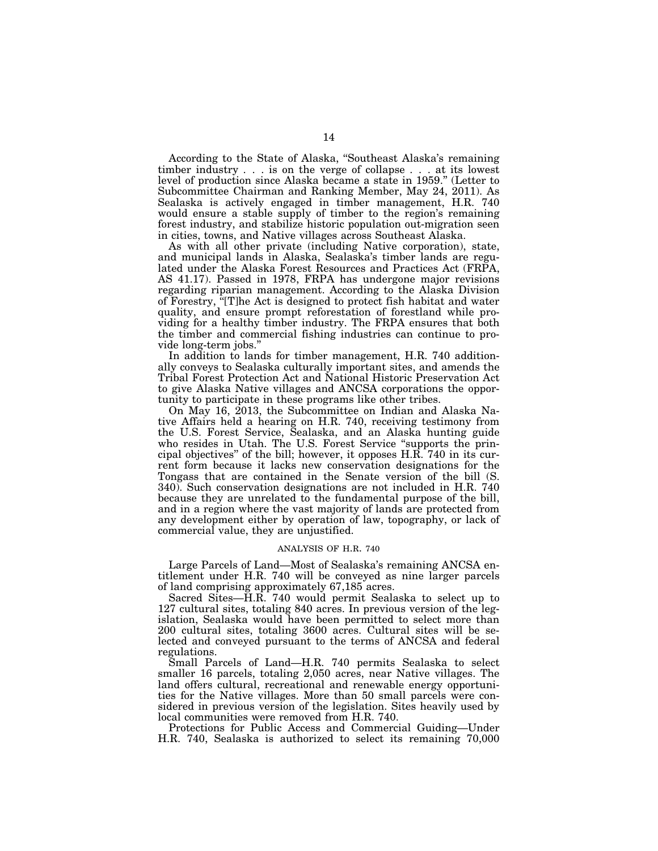According to the State of Alaska, ''Southeast Alaska's remaining timber industry . . . is on the verge of collapse . . . at its lowest level of production since Alaska became a state in 1959.'' (Letter to Subcommittee Chairman and Ranking Member, May 24, 2011). As Sealaska is actively engaged in timber management, H.R. 740 would ensure a stable supply of timber to the region's remaining forest industry, and stabilize historic population out-migration seen in cities, towns, and Native villages across Southeast Alaska.

As with all other private (including Native corporation), state, and municipal lands in Alaska, Sealaska's timber lands are regulated under the Alaska Forest Resources and Practices Act (FRPA, AS 41.17). Passed in 1978, FRPA has undergone major revisions regarding riparian management. According to the Alaska Division of Forestry, ''[T]he Act is designed to protect fish habitat and water quality, and ensure prompt reforestation of forestland while providing for a healthy timber industry. The FRPA ensures that both the timber and commercial fishing industries can continue to provide long-term jobs.''

In addition to lands for timber management, H.R. 740 additionally conveys to Sealaska culturally important sites, and amends the Tribal Forest Protection Act and National Historic Preservation Act to give Alaska Native villages and ANCSA corporations the opportunity to participate in these programs like other tribes.

On May 16, 2013, the Subcommittee on Indian and Alaska Native Affairs held a hearing on H.R. 740, receiving testimony from the U.S. Forest Service, Sealaska, and an Alaska hunting guide who resides in Utah. The U.S. Forest Service "supports the principal objectives'' of the bill; however, it opposes H.R. 740 in its current form because it lacks new conservation designations for the Tongass that are contained in the Senate version of the bill (S. 340). Such conservation designations are not included in H.R. 740 because they are unrelated to the fundamental purpose of the bill, and in a region where the vast majority of lands are protected from any development either by operation of law, topography, or lack of commercial value, they are unjustified.

### ANALYSIS OF H.R. 740

Large Parcels of Land—Most of Sealaska's remaining ANCSA entitlement under H.R. 740 will be conveyed as nine larger parcels of land comprising approximately 67,185 acres.

Sacred Sites—H.R. 740 would permit Sealaska to select up to 127 cultural sites, totaling 840 acres. In previous version of the legislation, Sealaska would have been permitted to select more than 200 cultural sites, totaling 3600 acres. Cultural sites will be selected and conveyed pursuant to the terms of ANCSA and federal regulations.

Small Parcels of Land—H.R. 740 permits Sealaska to select smaller 16 parcels, totaling 2,050 acres, near Native villages. The land offers cultural, recreational and renewable energy opportunities for the Native villages. More than 50 small parcels were considered in previous version of the legislation. Sites heavily used by local communities were removed from H.R. 740.

Protections for Public Access and Commercial Guiding—Under H.R. 740, Sealaska is authorized to select its remaining 70,000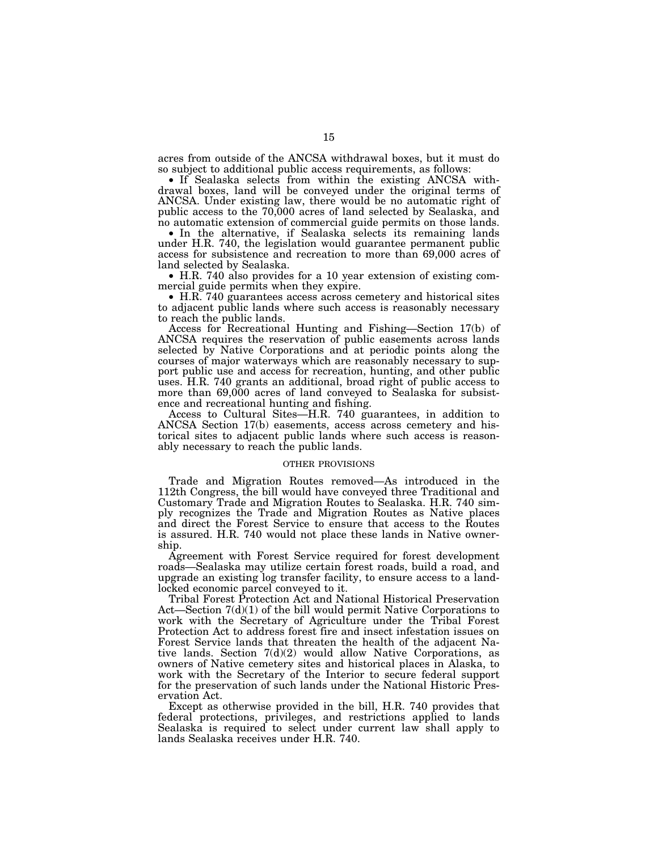acres from outside of the ANCSA withdrawal boxes, but it must do

so subject to additional public access requirements, as follows: • If Sealaska selects from within the existing ANCSA withdrawal boxes, land will be conveyed under the original terms of ANCSA. Under existing law, there would be no automatic right of public access to the 70,000 acres of land selected by Sealaska, and no automatic extension of commercial guide permits on those lands. no automatic extension of commercial guide permits on those lands. • In the alternative, if Sealaska selects its remaining lands

under H.R. 740, the legislation would guarantee permanent public access for subsistence and recreation to more than 69,000 acres of

• H.R. 740 also provides for a 10 year extension of existing com-<br>mercial guide permits when they expire.

 $\bullet$  H.R. 740 guarantees access across cemetery and historical sites to adjacent public lands where such access is reasonably necessary to reach the public lands.

Access for Recreational Hunting and Fishing—Section 17(b) of ANCSA requires the reservation of public easements across lands selected by Native Corporations and at periodic points along the courses of major waterways which are reasonably necessary to support public use and access for recreation, hunting, and other public uses. H.R. 740 grants an additional, broad right of public access to more than 69,000 acres of land conveyed to Sealaska for subsistence and recreational hunting and fishing.

Access to Cultural Sites—H.R. 740 guarantees, in addition to ANCSA Section 17(b) easements, access across cemetery and historical sites to adjacent public lands where such access is reasonably necessary to reach the public lands.

### OTHER PROVISIONS

Trade and Migration Routes removed—As introduced in the 112th Congress, the bill would have conveyed three Traditional and Customary Trade and Migration Routes to Sealaska. H.R. 740 simply recognizes the Trade and Migration Routes as Native places and direct the Forest Service to ensure that access to the Routes is assured. H.R. 740 would not place these lands in Native ownership.

Agreement with Forest Service required for forest development roads—Sealaska may utilize certain forest roads, build a road, and upgrade an existing log transfer facility, to ensure access to a landlocked economic parcel conveyed to it.

Tribal Forest Protection Act and National Historical Preservation Act—Section 7(d)(1) of the bill would permit Native Corporations to work with the Secretary of Agriculture under the Tribal Forest Protection Act to address forest fire and insect infestation issues on Forest Service lands that threaten the health of the adjacent Native lands. Section  $7(d)(2)$  would allow Native Corporations, as owners of Native cemetery sites and historical places in Alaska, to work with the Secretary of the Interior to secure federal support for the preservation of such lands under the National Historic Preservation Act.

Except as otherwise provided in the bill, H.R. 740 provides that federal protections, privileges, and restrictions applied to lands Sealaska is required to select under current law shall apply to lands Sealaska receives under H.R. 740.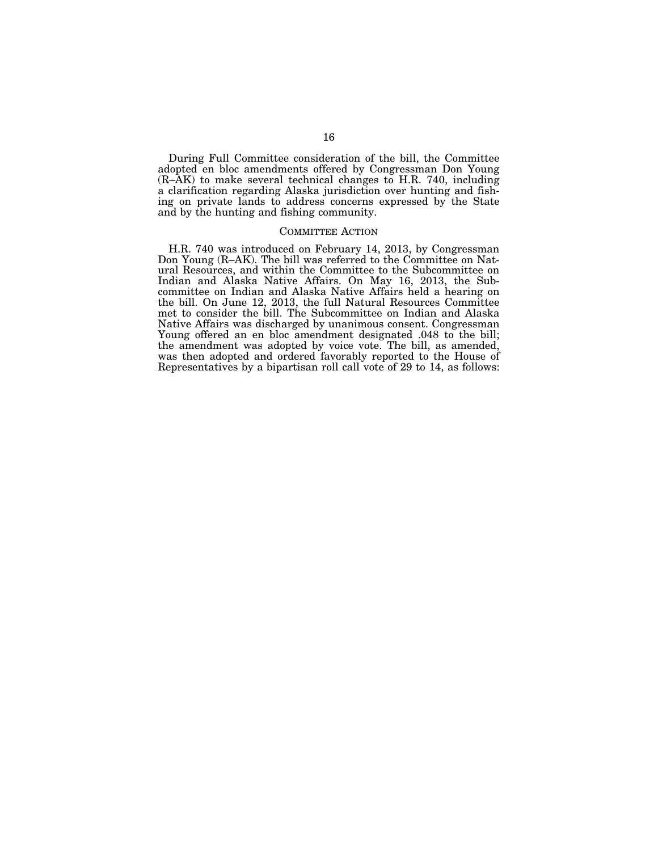During Full Committee consideration of the bill, the Committee adopted en bloc amendments offered by Congressman Don Young (R–AK) to make several technical changes to H.R. 740, including a clarification regarding Alaska jurisdiction over hunting and fishing on private lands to address concerns expressed by the State and by the hunting and fishing community.

### COMMITTEE ACTION

H.R. 740 was introduced on February 14, 2013, by Congressman Don Young (R–AK). The bill was referred to the Committee on Natural Resources, and within the Committee to the Subcommittee on Indian and Alaska Native Affairs. On May 16, 2013, the Subcommittee on Indian and Alaska Native Affairs held a hearing on the bill. On June 12, 2013, the full Natural Resources Committee met to consider the bill. The Subcommittee on Indian and Alaska Native Affairs was discharged by unanimous consent. Congressman Young offered an en bloc amendment designated .048 to the bill; the amendment was adopted by voice vote. The bill, as amended, was then adopted and ordered favorably reported to the House of Representatives by a bipartisan roll call vote of 29 to 14, as follows: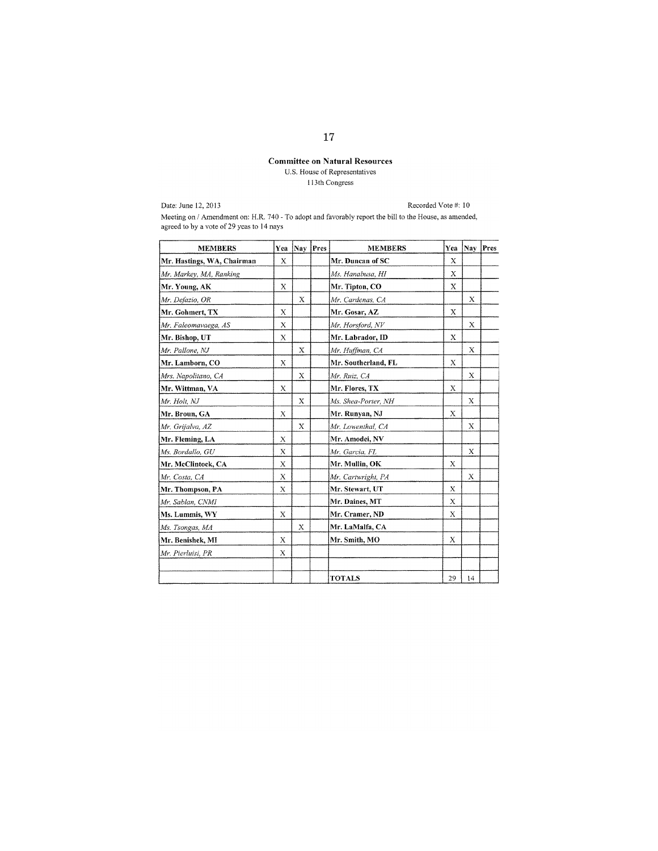# Committee on Natural Resources

U,S, House of Representatives 1 13th Congress

Date: June 12,2013 Recorded Vote #: 10 Meeting on / Amendment on: H.R. 740 - To adopt and favorably report the bill to the House, as amended, agreed to by a vote of 29 yeas to 14 nays

| <b>MEMBERS</b>             | Yea         | Nay | Pres             | <b>MEMBERS</b>      | Yea         | Nav | Pres |
|----------------------------|-------------|-----|------------------|---------------------|-------------|-----|------|
| Mr. Hastings, WA, Chairman | X           |     |                  | Mr. Duncan of SC    | X           |     |      |
| Mr. Markey, MA, Ranking    |             |     |                  | Ms. Hanabusa, HI    | Х           |     |      |
| Mr. Young, AK              | X           |     |                  | Mr. Tipton, CO      | $\mathbf x$ |     |      |
| Mr. Defazio, OR            | X           |     | Mr. Cardenas, CA |                     | $\mathbf x$ |     |      |
| Mr. Gohmert, TX            | X           |     |                  | Mr. Gosar, AZ       | $\mathbf x$ |     |      |
| Mr. Faleomavaega, AS       | X           |     |                  | Mr. Horsford, NV    |             | Х   |      |
| Mr. Bishop, UT             | X           |     |                  | Mr. Labrador, ID    | X           |     |      |
| Mr. Pallone, NJ            |             | X   |                  | Mr. Huffman, CA     |             | X   |      |
| Mr. Lamborn, CO            | X           |     |                  | Mr. Southerland, FL | X           |     |      |
| Mrs. Napolitano, CA        |             | X   |                  | Mr. Ruiz, CA        |             | X   |      |
| Mr. Wittman, VA            | X           |     |                  | Mr. Flores, TX      | X           |     |      |
| Mr. Holt, NJ               |             | X   |                  | Ms. Shea-Porter, NH |             | X   |      |
| Mr. Broun, GA              | $\mathbf x$ |     |                  | Mr. Runyan, NJ      | X           |     |      |
| Mr. Grijalva, AZ           |             | X   |                  | Mr. Lowenthal, CA   |             | X   |      |
| Mr. Fleming, LA            | X           |     |                  | Mr. Amodei, NV      |             |     |      |
| Ms. Bordallo, GU           | X           |     |                  | Mr. Garcia, FL      |             | X   |      |
| Mr. McClintock, CA         | X           |     |                  | Mr. Mullin, OK      | X           |     |      |
| Mr. Costa, CA              | X           |     |                  | Mr. Cartwright, PA  |             | X   |      |
| Mr. Thompson, PA           | X           |     |                  | Mr. Stewart, UT     | Х           |     |      |
| Mr. Sablan, CNMI           |             |     |                  | Mr. Daines, MT      | X           |     |      |
| Ms. Lummis, WY             | X           |     |                  | Mr. Cramer, ND      | X           |     |      |
| Ms. Tsongas, MA            |             | X   |                  | Mr. LaMalfa, CA     |             |     |      |
| Mr. Benishek, MI           | X           |     |                  | Mr. Smith, MO       | Х           |     |      |
| Mr. Pierluisi, PR          | X           |     |                  |                     |             |     |      |
|                            |             |     |                  |                     |             |     |      |
|                            |             |     |                  | <b>TOTALS</b>       | 29          | 14  |      |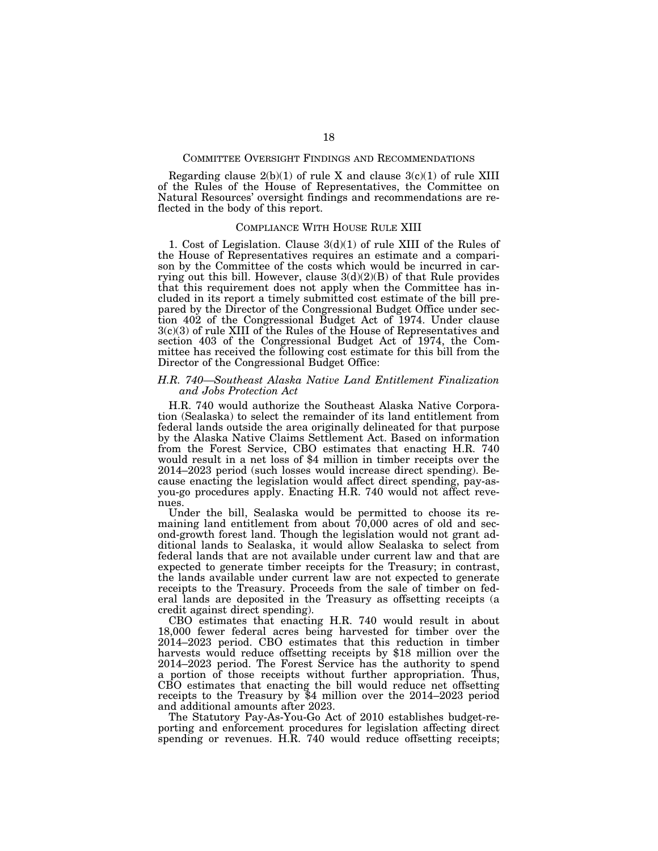### COMMITTEE OVERSIGHT FINDINGS AND RECOMMENDATIONS

Regarding clause  $2(b)(1)$  of rule X and clause  $3(c)(1)$  of rule XIII of the Rules of the House of Representatives, the Committee on Natural Resources' oversight findings and recommendations are reflected in the body of this report.

### COMPLIANCE WITH HOUSE RULE XIII

1. Cost of Legislation. Clause 3(d)(1) of rule XIII of the Rules of the House of Representatives requires an estimate and a comparison by the Committee of the costs which would be incurred in carrying out this bill. However, clause  $3(d)(2)(B)$  of that Rule provides that this requirement does not apply when the Committee has included in its report a timely submitted cost estimate of the bill prepared by the Director of the Congressional Budget Office under section 402 of the Congressional Budget Act of 1974. Under clause 3(c)(3) of rule XIII of the Rules of the House of Representatives and section 403 of the Congressional Budget Act of 1974, the Committee has received the following cost estimate for this bill from the Director of the Congressional Budget Office:

### *H.R. 740—Southeast Alaska Native Land Entitlement Finalization and Jobs Protection Act*

H.R. 740 would authorize the Southeast Alaska Native Corporation (Sealaska) to select the remainder of its land entitlement from federal lands outside the area originally delineated for that purpose by the Alaska Native Claims Settlement Act. Based on information from the Forest Service, CBO estimates that enacting H.R. 740 would result in a net loss of \$4 million in timber receipts over the 2014–2023 period (such losses would increase direct spending). Because enacting the legislation would affect direct spending, pay-asyou-go procedures apply. Enacting H.R. 740 would not affect revenues.

Under the bill, Sealaska would be permitted to choose its remaining land entitlement from about 70,000 acres of old and second-growth forest land. Though the legislation would not grant additional lands to Sealaska, it would allow Sealaska to select from federal lands that are not available under current law and that are expected to generate timber receipts for the Treasury; in contrast, the lands available under current law are not expected to generate receipts to the Treasury. Proceeds from the sale of timber on federal lands are deposited in the Treasury as offsetting receipts (a credit against direct spending).

CBO estimates that enacting H.R. 740 would result in about 18,000 fewer federal acres being harvested for timber over the 2014–2023 period. CBO estimates that this reduction in timber harvests would reduce offsetting receipts by \$18 million over the 2014–2023 period. The Forest Service has the authority to spend a portion of those receipts without further appropriation. Thus, CBO estimates that enacting the bill would reduce net offsetting receipts to the Treasury by \$4 million over the 2014–2023 period and additional amounts after 2023.

The Statutory Pay-As-You-Go Act of 2010 establishes budget-reporting and enforcement procedures for legislation affecting direct spending or revenues. H.R. 740 would reduce offsetting receipts;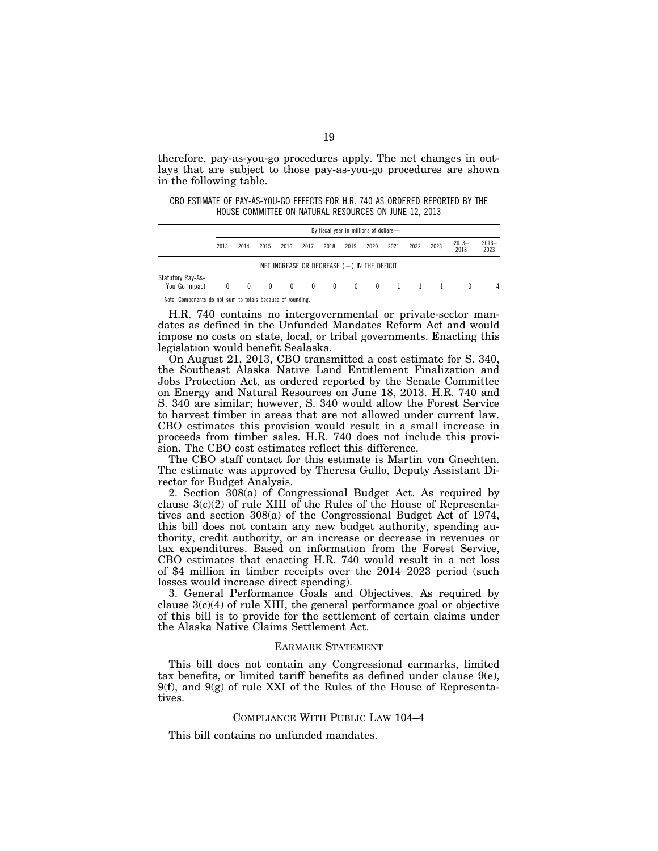|                         | therefore, pay-as-you-go procedures apply. The net changes in out- |
|-------------------------|--------------------------------------------------------------------|
|                         | lays that are subject to those pay-as-you-go procedures are shown  |
| in the following table. |                                                                    |

CBO ESTIMATE OF PAY-AS-YOU-GO EFFECTS FOR H.R. 740 AS ORDERED REPORTED BY THE HOUSE COMMITTEE ON NATURAL RESOURCES ON JUNE 12, 2013

| $2013-$<br>2023<br>2022<br>2021<br>2017<br>2019<br>2020<br>2013<br>2014<br>2018<br>2016<br>2015<br>2018<br>NET INCREASE OR DECREASE $(-)$ IN THE DEFICIT |                   | By fiscal year in millions of dollars- |  |  |  |  |  |  |  |  |  |  |  |                  |
|----------------------------------------------------------------------------------------------------------------------------------------------------------|-------------------|----------------------------------------|--|--|--|--|--|--|--|--|--|--|--|------------------|
|                                                                                                                                                          |                   |                                        |  |  |  |  |  |  |  |  |  |  |  | $2013 -$<br>2023 |
|                                                                                                                                                          |                   |                                        |  |  |  |  |  |  |  |  |  |  |  |                  |
| You-Go Impact<br>$\mathbf{0}$<br>$\mathbf{0}$<br>$\mathbf{0}$<br>$\mathbf{0}$<br>$\theta$<br>$\overline{0}$<br>$\overline{1}$<br>$\sim$ 0<br>$\theta$    | Statutory Pay-As- |                                        |  |  |  |  |  |  |  |  |  |  |  | 4                |

H.R. 740 contains no intergovernmental or private-sector mandates as defined in the Unfunded Mandates Reform Act and would impose no costs on state, local, or tribal governments. Enacting this legislation would benefit Sealaska.

On August 21, 2013, CBO transmitted a cost estimate for S. 340, the Southeast Alaska Native Land Entitlement Finalization and Jobs Protection Act, as ordered reported by the Senate Committee on Energy and Natural Resources on June 18, 2013. H.R. 740 and S. 340 are similar; however, S. 340 would allow the Forest Service to harvest timber in areas that are not allowed under current law. CBO estimates this provision would result in a small increase in proceeds from timber sales. H.R. 740 does not include this provision. The CBO cost estimates reflect this difference.

The CBO staff contact for this estimate is Martin von Gnechten. The estimate was approved by Theresa Gullo, Deputy Assistant Director for Budget Analysis.

2. Section 308(a) of Congressional Budget Act. As required by clause  $3(c)(2)$  of rule XIII of the Rules of the House of Representatives and section 308(a) of the Congressional Budget Act of 1974, this bill does not contain any new budget authority, spending authority, credit authority, or an increase or decrease in revenues or tax expenditures. Based on information from the Forest Service, CBO estimates that enacting H.R. 740 would result in a net loss of \$4 million in timber receipts over the 2014–2023 period (such losses would increase direct spending).

3. General Performance Goals and Objectives. As required by clause  $3(c)(4)$  of rule XIII, the general performance goal or objective of this bill is to provide for the settlement of certain claims under the Alaska Native Claims Settlement Act.

### EARMARK STATEMENT

This bill does not contain any Congressional earmarks, limited tax benefits, or limited tariff benefits as defined under clause  $9(e)$ ,  $9(f)$ , and  $9(g)$  of rule XXI of the Rules of the House of Representatives.

### COMPLIANCE WITH PUBLIC LAW 104–4

This bill contains no unfunded mandates.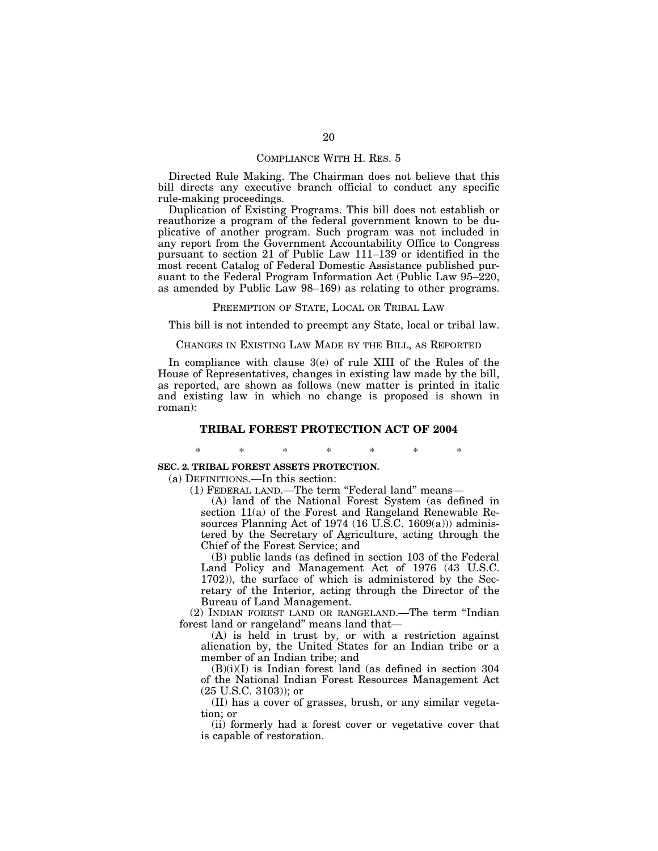### COMPLIANCE WITH H. RES. 5

Directed Rule Making. The Chairman does not believe that this bill directs any executive branch official to conduct any specific rule-making proceedings.

Duplication of Existing Programs. This bill does not establish or reauthorize a program of the federal government known to be duplicative of another program. Such program was not included in any report from the Government Accountability Office to Congress pursuant to section 21 of Public Law 111–139 or identified in the most recent Catalog of Federal Domestic Assistance published pursuant to the Federal Program Information Act (Public Law 95–220, as amended by Public Law 98–169) as relating to other programs.

### PREEMPTION OF STATE, LOCAL OR TRIBAL LAW

This bill is not intended to preempt any State, local or tribal law.

### CHANGES IN EXISTING LAW MADE BY THE BILL, AS REPORTED

In compliance with clause 3(e) of rule XIII of the Rules of the House of Representatives, changes in existing law made by the bill, as reported, are shown as follows (new matter is printed in italic and existing law in which no change is proposed is shown in roman):

# **TRIBAL FOREST PROTECTION ACT OF 2004**

\* \* \* \* \* \* \*

### **SEC. 2. TRIBAL FOREST ASSETS PROTECTION.**

(a) DEFINITIONS.—In this section:

(1) FEDERAL LAND.—The term "Federal land" means—

(A) land of the National Forest System (as defined in section 11(a) of the Forest and Rangeland Renewable Resources Planning Act of 1974 (16 U.S.C. 1609(a))) administered by the Secretary of Agriculture, acting through the Chief of the Forest Service; and

(B) public lands (as defined in section 103 of the Federal Land Policy and Management Act of 1976 (43 U.S.C. 1702)), the surface of which is administered by the Secretary of the Interior, acting through the Director of the Bureau of Land Management.

(2) INDIAN FOREST LAND OR RANGELAND.—The term ''Indian forest land or rangeland'' means land that—

(A) is held in trust by, or with a restriction against alienation by, the United States for an Indian tribe or a member of an Indian tribe; and

 $(B)(i)(I)$  is Indian forest land (as defined in section 304 of the National Indian Forest Resources Management Act (25 U.S.C. 3103)); or

(II) has a cover of grasses, brush, or any similar vegetation; or

(ii) formerly had a forest cover or vegetative cover that is capable of restoration.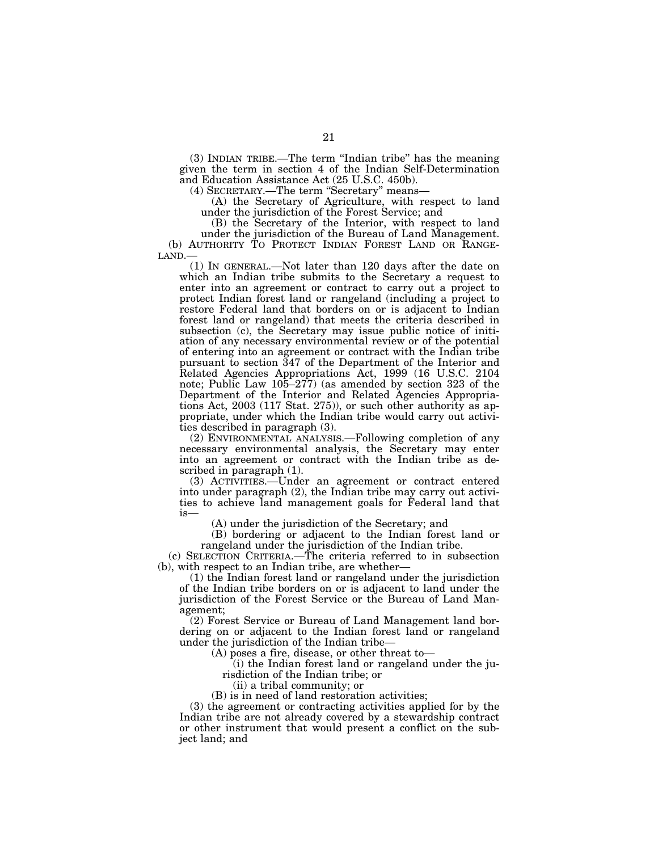(3) INDIAN TRIBE.—The term ''Indian tribe'' has the meaning given the term in section 4 of the Indian Self-Determination and Education Assistance Act (25 U.S.C. 450b).

(4) SECRETARY.—The term "Secretary" means-

(A) the Secretary of Agriculture, with respect to land under the jurisdiction of the Forest Service; and

(B) the Secretary of the Interior, with respect to land under the jurisdiction of the Bureau of Land Management. (b) AUTHORITY TO PROTECT INDIAN FOREST LAND OR RANGE-<br>LAND.—

(1) IN GENERAL.—Not later than 120 days after the date on which an Indian tribe submits to the Secretary a request to enter into an agreement or contract to carry out a project to protect Indian forest land or rangeland (including a project to restore Federal land that borders on or is adjacent to Indian forest land or rangeland) that meets the criteria described in subsection (c), the Secretary may issue public notice of initiation of any necessary environmental review or of the potential of entering into an agreement or contract with the Indian tribe pursuant to section 347 of the Department of the Interior and Related Agencies Appropriations Act, 1999 (16 U.S.C. 2104 note; Public Law 105–277) (as amended by section 323 of the Department of the Interior and Related Agencies Appropriations Act, 2003 (117 Stat. 275)), or such other authority as appropriate, under which the Indian tribe would carry out activities described in paragraph (3).

(2) ENVIRONMENTAL ANALYSIS.—Following completion of any necessary environmental analysis, the Secretary may enter into an agreement or contract with the Indian tribe as described in paragraph (1).

(3) ACTIVITIES.—Under an agreement or contract entered into under paragraph (2), the Indian tribe may carry out activities to achieve land management goals for Federal land that is—

(A) under the jurisdiction of the Secretary; and

(B) bordering or adjacent to the Indian forest land or rangeland under the jurisdiction of the Indian tribe.

(c) SELECTION CRITERIA.—The criteria referred to in subsection (b), with respect to an Indian tribe, are whether—

(1) the Indian forest land or rangeland under the jurisdiction of the Indian tribe borders on or is adjacent to land under the jurisdiction of the Forest Service or the Bureau of Land Management;

(2) Forest Service or Bureau of Land Management land bordering on or adjacent to the Indian forest land or rangeland under the jurisdiction of the Indian tribe—

(A) poses a fire, disease, or other threat to—

(i) the Indian forest land or rangeland under the jurisdiction of the Indian tribe; or

(ii) a tribal community; or

(B) is in need of land restoration activities;

(3) the agreement or contracting activities applied for by the Indian tribe are not already covered by a stewardship contract or other instrument that would present a conflict on the subject land; and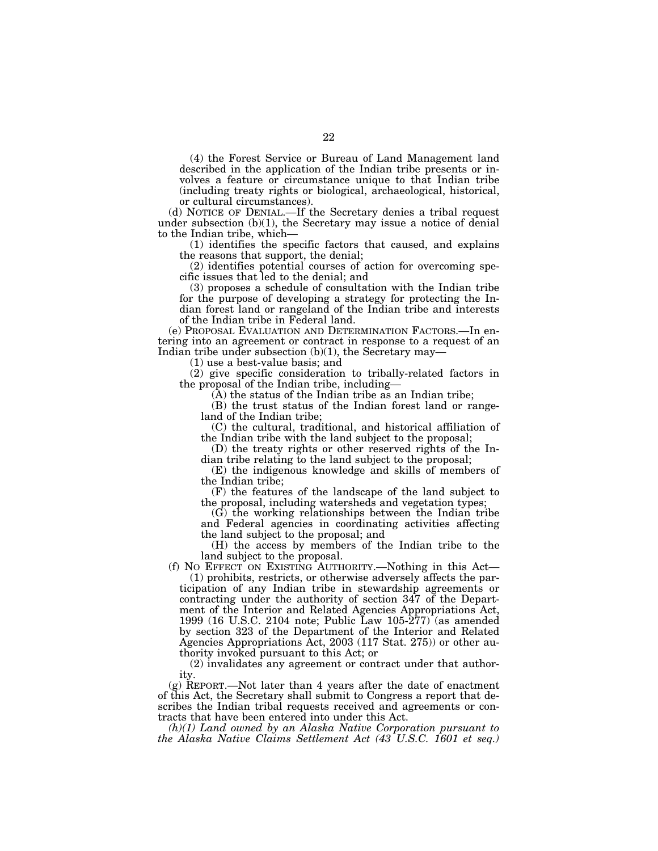(4) the Forest Service or Bureau of Land Management land described in the application of the Indian tribe presents or involves a feature or circumstance unique to that Indian tribe (including treaty rights or biological, archaeological, historical, or cultural circumstances).

(d) NOTICE OF DENIAL.—If the Secretary denies a tribal request under subsection  $(b)(1)$ , the Secretary may issue a notice of denial to the Indian tribe, which—

(1) identifies the specific factors that caused, and explains the reasons that support, the denial;

(2) identifies potential courses of action for overcoming specific issues that led to the denial; and

(3) proposes a schedule of consultation with the Indian tribe for the purpose of developing a strategy for protecting the Indian forest land or rangeland of the Indian tribe and interests of the Indian tribe in Federal land.

(e) PROPOSAL EVALUATION AND DETERMINATION FACTORS.—In entering into an agreement or contract in response to a request of an Indian tribe under subsection (b)(1), the Secretary may—

(1) use a best-value basis; and

(2) give specific consideration to tribally-related factors in the proposal of the Indian tribe, including—

(A) the status of the Indian tribe as an Indian tribe;

(B) the trust status of the Indian forest land or rangeland of the Indian tribe;

(C) the cultural, traditional, and historical affiliation of the Indian tribe with the land subject to the proposal;

(D) the treaty rights or other reserved rights of the Indian tribe relating to the land subject to the proposal;

(E) the indigenous knowledge and skills of members of the Indian tribe;

(F) the features of the landscape of the land subject to the proposal, including watersheds and vegetation types;

(G) the working relationships between the Indian tribe and Federal agencies in coordinating activities affecting the land subject to the proposal; and

(H) the access by members of the Indian tribe to the land subject to the proposal.

(f) NO EFFECT ON EXISTING AUTHORITY.—Nothing in this Act— (1) prohibits, restricts, or otherwise adversely affects the par-

ticipation of any Indian tribe in stewardship agreements or contracting under the authority of section 347 of the Department of the Interior and Related Agencies Appropriations Act, 1999 (16 U.S.C. 2104 note; Public Law 105-277) (as amended by section 323 of the Department of the Interior and Related Agencies Appropriations Act, 2003 (117 Stat. 275)) or other authority invoked pursuant to this Act; or

(2) invalidates any agreement or contract under that authority.

(g) REPORT.—Not later than 4 years after the date of enactment of this Act, the Secretary shall submit to Congress a report that describes the Indian tribal requests received and agreements or contracts that have been entered into under this Act.

*(h)(1) Land owned by an Alaska Native Corporation pursuant to the Alaska Native Claims Settlement Act (43 U.S.C. 1601 et seq.)*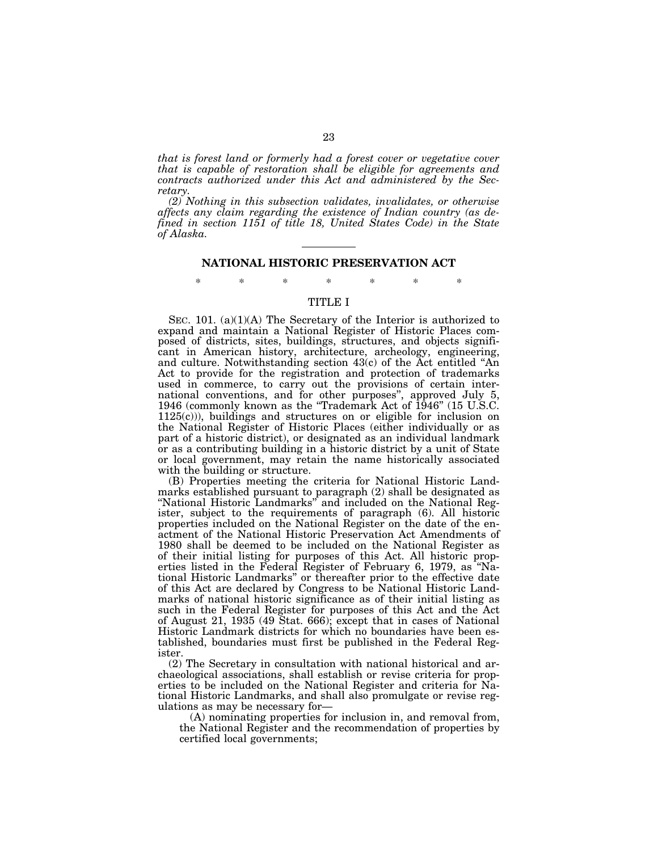*that is forest land or formerly had a forest cover or vegetative cover that is capable of restoration shall be eligible for agreements and contracts authorized under this Act and administered by the Secretary.* 

*(2) Nothing in this subsection validates, invalidates, or otherwise affects any claim regarding the existence of Indian country (as defined in section 1151 of title 18, United States Code) in the State of Alaska.* 

# **NATIONAL HISTORIC PRESERVATION ACT**  \* \* \* \* \* \* \*

# TITLE I

SEC. 101. (a)(1)(A) The Secretary of the Interior is authorized to expand and maintain a National Register of Historic Places composed of districts, sites, buildings, structures, and objects significant in American history, architecture, archeology, engineering, and culture. Notwithstanding section 43(c) of the Act entitled ''An Act to provide for the registration and protection of trademarks used in commerce, to carry out the provisions of certain international conventions, and for other purposes'', approved July 5, 1946 (commonly known as the ''Trademark Act of 1946'' (15 U.S.C. 1125(c))), buildings and structures on or eligible for inclusion on the National Register of Historic Places (either individually or as part of a historic district), or designated as an individual landmark or as a contributing building in a historic district by a unit of State or local government, may retain the name historically associated with the building or structure.

(B) Properties meeting the criteria for National Historic Landmarks established pursuant to paragraph (2) shall be designated as ''National Historic Landmarks'' and included on the National Register, subject to the requirements of paragraph (6). All historic properties included on the National Register on the date of the enactment of the National Historic Preservation Act Amendments of 1980 shall be deemed to be included on the National Register as of their initial listing for purposes of this Act. All historic properties listed in the Federal Register of February 6, 1979, as ''National Historic Landmarks'' or thereafter prior to the effective date of this Act are declared by Congress to be National Historic Landmarks of national historic significance as of their initial listing as such in the Federal Register for purposes of this Act and the Act of August 21, 1935 (49 Stat. 666); except that in cases of National Historic Landmark districts for which no boundaries have been established, boundaries must first be published in the Federal Register.

(2) The Secretary in consultation with national historical and archaeological associations, shall establish or revise criteria for properties to be included on the National Register and criteria for National Historic Landmarks, and shall also promulgate or revise regulations as may be necessary for—

(A) nominating properties for inclusion in, and removal from, the National Register and the recommendation of properties by certified local governments;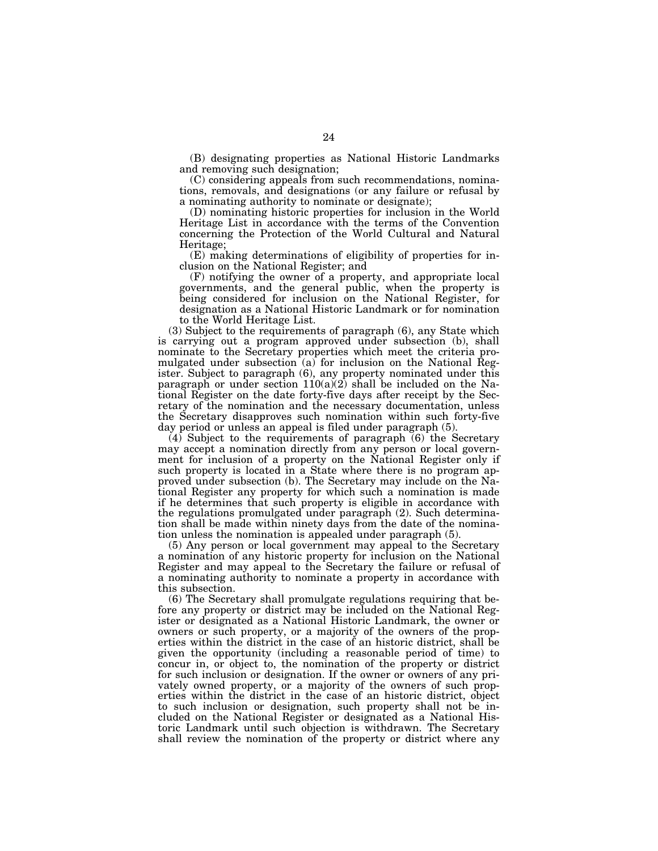(B) designating properties as National Historic Landmarks and removing such designation;

(C) considering appeals from such recommendations, nominations, removals, and designations (or any failure or refusal by a nominating authority to nominate or designate);

(D) nominating historic properties for inclusion in the World Heritage List in accordance with the terms of the Convention concerning the Protection of the World Cultural and Natural Heritage;

(E) making determinations of eligibility of properties for inclusion on the National Register; and

(F) notifying the owner of a property, and appropriate local governments, and the general public, when the property is being considered for inclusion on the National Register, for designation as a National Historic Landmark or for nomination to the World Heritage List.

(3) Subject to the requirements of paragraph (6), any State which is carrying out a program approved under subsection (b), shall nominate to the Secretary properties which meet the criteria promulgated under subsection (a) for inclusion on the National Register. Subject to paragraph (6), any property nominated under this paragraph or under section 110(a)(2) shall be included on the National Register on the date forty-five days after receipt by the Secretary of the nomination and the necessary documentation, unless the Secretary disapproves such nomination within such forty-five day period or unless an appeal is filed under paragraph (5).

 $(4)$  Subject to the requirements of paragraph  $(6)$  the Secretary may accept a nomination directly from any person or local government for inclusion of a property on the National Register only if such property is located in a State where there is no program approved under subsection (b). The Secretary may include on the National Register any property for which such a nomination is made if he determines that such property is eligible in accordance with the regulations promulgated under paragraph (2). Such determination shall be made within ninety days from the date of the nomination unless the nomination is appealed under paragraph (5).

(5) Any person or local government may appeal to the Secretary a nomination of any historic property for inclusion on the National Register and may appeal to the Secretary the failure or refusal of a nominating authority to nominate a property in accordance with this subsection.

(6) The Secretary shall promulgate regulations requiring that before any property or district may be included on the National Register or designated as a National Historic Landmark, the owner or owners or such property, or a majority of the owners of the properties within the district in the case of an historic district, shall be given the opportunity (including a reasonable period of time) to concur in, or object to, the nomination of the property or district for such inclusion or designation. If the owner or owners of any privately owned property, or a majority of the owners of such properties within the district in the case of an historic district, object to such inclusion or designation, such property shall not be included on the National Register or designated as a National Historic Landmark until such objection is withdrawn. The Secretary shall review the nomination of the property or district where any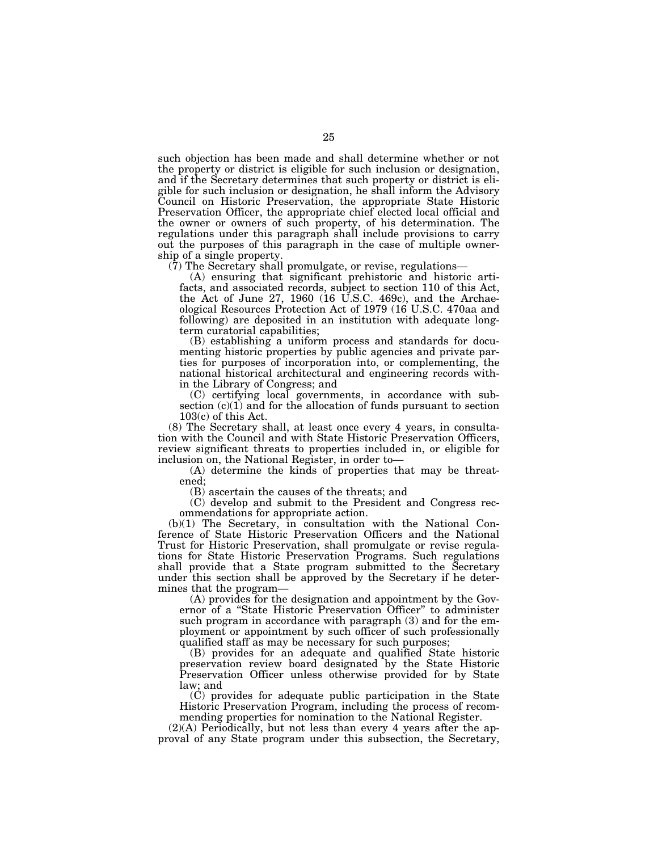such objection has been made and shall determine whether or not the property or district is eligible for such inclusion or designation, and if the Secretary determines that such property or district is eligible for such inclusion or designation, he shall inform the Advisory Council on Historic Preservation, the appropriate State Historic Preservation Officer, the appropriate chief elected local official and the owner or owners of such property, of his determination. The regulations under this paragraph shall include provisions to carry out the purposes of this paragraph in the case of multiple ownership of a single property.

(7) The Secretary shall promulgate, or revise, regulations—

(A) ensuring that significant prehistoric and historic artifacts, and associated records, subject to section 110 of this Act, the Act of June 27, 1960 (16 U.S.C. 469c), and the Archaeological Resources Protection Act of 1979 (16 U.S.C. 470aa and following) are deposited in an institution with adequate longterm curatorial capabilities;

(B) establishing a uniform process and standards for documenting historic properties by public agencies and private parties for purposes of incorporation into, or complementing, the national historical architectural and engineering records within the Library of Congress; and

(C) certifying local governments, in accordance with subsection  $(c)(1)$  and for the allocation of funds pursuant to section 103(c) of this Act.

(8) The Secretary shall, at least once every 4 years, in consultation with the Council and with State Historic Preservation Officers, review significant threats to properties included in, or eligible for inclusion on, the National Register, in order to-

(A) determine the kinds of properties that may be threatened;

(B) ascertain the causes of the threats; and

(C) develop and submit to the President and Congress recommendations for appropriate action.

(b)(1) The Secretary, in consultation with the National Conference of State Historic Preservation Officers and the National Trust for Historic Preservation, shall promulgate or revise regulations for State Historic Preservation Programs. Such regulations shall provide that a State program submitted to the Secretary under this section shall be approved by the Secretary if he determines that the program—

(A) provides for the designation and appointment by the Governor of a ''State Historic Preservation Officer'' to administer such program in accordance with paragraph (3) and for the employment or appointment by such officer of such professionally qualified staff as may be necessary for such purposes;

(B) provides for an adequate and qualified State historic preservation review board designated by the State Historic Preservation Officer unless otherwise provided for by State law; and

(C) provides for adequate public participation in the State Historic Preservation Program, including the process of recommending properties for nomination to the National Register.

(2)(A) Periodically, but not less than every 4 years after the approval of any State program under this subsection, the Secretary,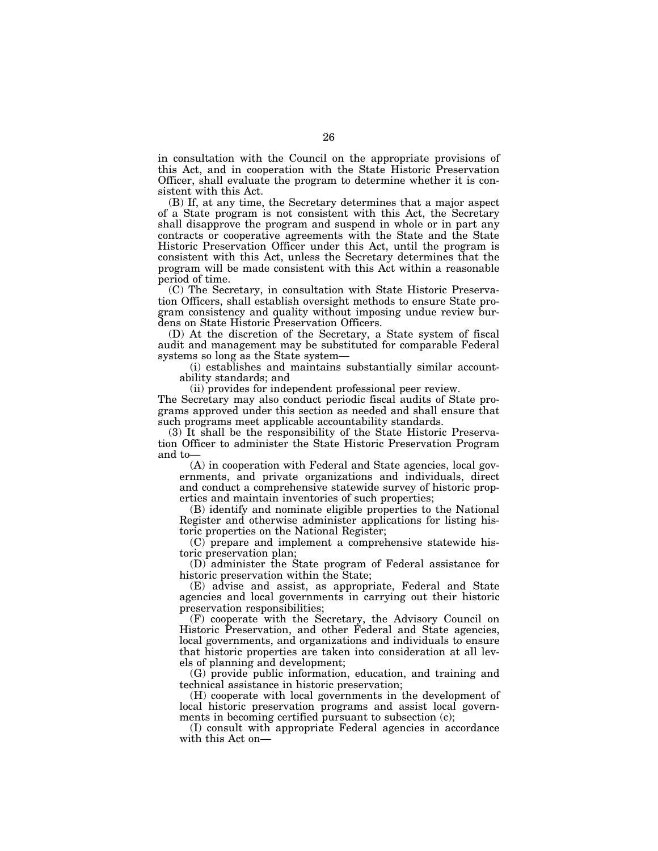in consultation with the Council on the appropriate provisions of this Act, and in cooperation with the State Historic Preservation Officer, shall evaluate the program to determine whether it is consistent with this Act.

(B) If, at any time, the Secretary determines that a major aspect of a State program is not consistent with this Act, the Secretary shall disapprove the program and suspend in whole or in part any contracts or cooperative agreements with the State and the State Historic Preservation Officer under this Act, until the program is consistent with this Act, unless the Secretary determines that the program will be made consistent with this Act within a reasonable period of time.

(C) The Secretary, in consultation with State Historic Preservation Officers, shall establish oversight methods to ensure State program consistency and quality without imposing undue review burdens on State Historic Preservation Officers.

(D) At the discretion of the Secretary, a State system of fiscal audit and management may be substituted for comparable Federal systems so long as the State system—

(i) establishes and maintains substantially similar accountability standards; and

(ii) provides for independent professional peer review.

The Secretary may also conduct periodic fiscal audits of State programs approved under this section as needed and shall ensure that such programs meet applicable accountability standards.

(3) It shall be the responsibility of the State Historic Preservation Officer to administer the State Historic Preservation Program and to—

(A) in cooperation with Federal and State agencies, local governments, and private organizations and individuals, direct and conduct a comprehensive statewide survey of historic properties and maintain inventories of such properties;

(B) identify and nominate eligible properties to the National Register and otherwise administer applications for listing historic properties on the National Register;

(C) prepare and implement a comprehensive statewide historic preservation plan;

(D) administer the State program of Federal assistance for historic preservation within the State;

(E) advise and assist, as appropriate, Federal and State agencies and local governments in carrying out their historic preservation responsibilities;

(F) cooperate with the Secretary, the Advisory Council on Historic Preservation, and other Federal and State agencies, local governments, and organizations and individuals to ensure that historic properties are taken into consideration at all levels of planning and development;

(G) provide public information, education, and training and technical assistance in historic preservation;

(H) cooperate with local governments in the development of local historic preservation programs and assist local governments in becoming certified pursuant to subsection (c);

(I) consult with appropriate Federal agencies in accordance with this Act on—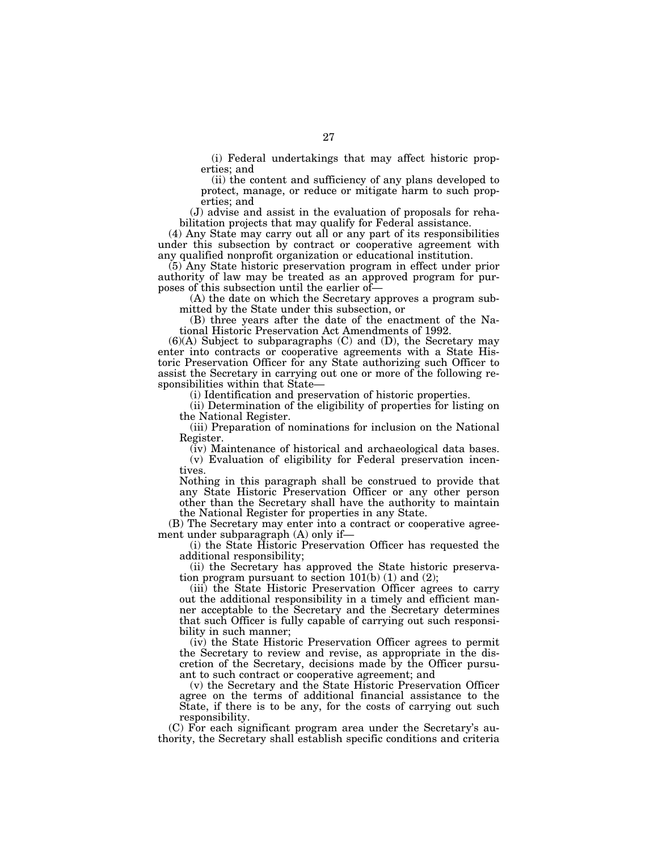(i) Federal undertakings that may affect historic properties; and

(ii) the content and sufficiency of any plans developed to protect, manage, or reduce or mitigate harm to such properties; and

(J) advise and assist in the evaluation of proposals for rehabilitation projects that may qualify for Federal assistance.

(4) Any State may carry out all or any part of its responsibilities under this subsection by contract or cooperative agreement with any qualified nonprofit organization or educational institution.

(5) Any State historic preservation program in effect under prior authority of law may be treated as an approved program for purposes of this subsection until the earlier of—

(A) the date on which the Secretary approves a program submitted by the State under this subsection, or

(B) three years after the date of the enactment of the National Historic Preservation Act Amendments of 1992.

 $(6)(A)$  Subject to subparagraphs  $(C)$  and  $(D)$ , the Secretary may enter into contracts or cooperative agreements with a State Historic Preservation Officer for any State authorizing such Officer to assist the Secretary in carrying out one or more of the following responsibilities within that State—

(i) Identification and preservation of historic properties.

(ii) Determination of the eligibility of properties for listing on the National Register.

(iii) Preparation of nominations for inclusion on the National Register.

(iv) Maintenance of historical and archaeological data bases. (v) Evaluation of eligibility for Federal preservation incentives.

Nothing in this paragraph shall be construed to provide that any State Historic Preservation Officer or any other person other than the Secretary shall have the authority to maintain the National Register for properties in any State.

(B) The Secretary may enter into a contract or cooperative agreement under subparagraph (A) only if—

(i) the State Historic Preservation Officer has requested the additional responsibility;

(ii) the Secretary has approved the State historic preservation program pursuant to section  $101(b)$  (1) and (2);

(iii) the State Historic Preservation Officer agrees to carry out the additional responsibility in a timely and efficient manner acceptable to the Secretary and the Secretary determines that such Officer is fully capable of carrying out such responsibility in such manner;

(iv) the State Historic Preservation Officer agrees to permit the Secretary to review and revise, as appropriate in the discretion of the Secretary, decisions made by the Officer pursuant to such contract or cooperative agreement; and

(v) the Secretary and the State Historic Preservation Officer agree on the terms of additional financial assistance to the State, if there is to be any, for the costs of carrying out such responsibility.

(C) For each significant program area under the Secretary's authority, the Secretary shall establish specific conditions and criteria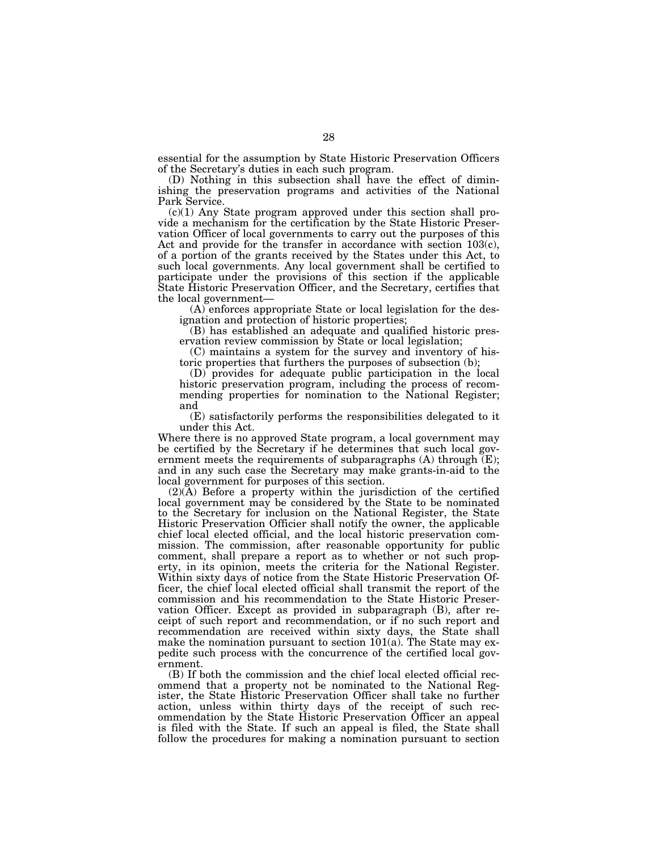essential for the assumption by State Historic Preservation Officers of the Secretary's duties in each such program.

(D) Nothing in this subsection shall have the effect of diminishing the preservation programs and activities of the National Park Service.

 $(c)(1)$  Any State program approved under this section shall provide a mechanism for the certification by the State Historic Preservation Officer of local governments to carry out the purposes of this Act and provide for the transfer in accordance with section 103(c), of a portion of the grants received by the States under this Act, to such local governments. Any local government shall be certified to participate under the provisions of this section if the applicable State Historic Preservation Officer, and the Secretary, certifies that the local government—

(A) enforces appropriate State or local legislation for the designation and protection of historic properties;

(B) has established an adequate and qualified historic preservation review commission by State or local legislation;

(C) maintains a system for the survey and inventory of historic properties that furthers the purposes of subsection (b);

(D) provides for adequate public participation in the local historic preservation program, including the process of recommending properties for nomination to the National Register; and

(E) satisfactorily performs the responsibilities delegated to it under this Act.

Where there is no approved State program, a local government may be certified by the Secretary if he determines that such local government meets the requirements of subparagraphs  $(A)$  through  $(E)$ ; and in any such case the Secretary may make grants-in-aid to the local government for purposes of this section.

(2)(A) Before a property within the jurisdiction of the certified local government may be considered by the State to be nominated to the Secretary for inclusion on the National Register, the State Historic Preservation Officier shall notify the owner, the applicable chief local elected official, and the local historic preservation commission. The commission, after reasonable opportunity for public comment, shall prepare a report as to whether or not such property, in its opinion, meets the criteria for the National Register. Within sixty days of notice from the State Historic Preservation Officer, the chief local elected official shall transmit the report of the commission and his recommendation to the State Historic Preservation Officer. Except as provided in subparagraph (B), after receipt of such report and recommendation, or if no such report and recommendation are received within sixty days, the State shall make the nomination pursuant to section  $101(a)$ . The State may expedite such process with the concurrence of the certified local government.

(B) If both the commission and the chief local elected official recommend that a property not be nominated to the National Register, the State Historic Preservation Officer shall take no further action, unless within thirty days of the receipt of such recommendation by the State Historic Preservation Officer an appeal is filed with the State. If such an appeal is filed, the State shall follow the procedures for making a nomination pursuant to section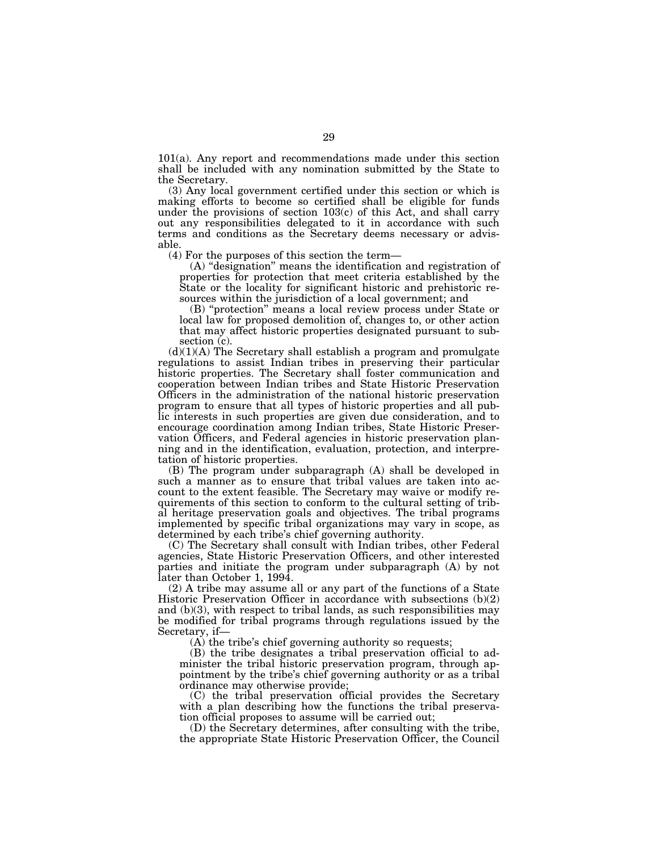101(a). Any report and recommendations made under this section shall be included with any nomination submitted by the State to the Secretary.

(3) Any local government certified under this section or which is making efforts to become so certified shall be eligible for funds under the provisions of section 103(c) of this Act, and shall carry out any responsibilities delegated to it in accordance with such terms and conditions as the Secretary deems necessary or advisable.

(4) For the purposes of this section the term—

(A) ''designation'' means the identification and registration of properties for protection that meet criteria established by the State or the locality for significant historic and prehistoric resources within the jurisdiction of a local government; and

(B) ''protection'' means a local review process under State or local law for proposed demolition of, changes to, or other action that may affect historic properties designated pursuant to subsection (c).

 $(d)(1)(A)$  The Secretary shall establish a program and promulgate regulations to assist Indian tribes in preserving their particular historic properties. The Secretary shall foster communication and cooperation between Indian tribes and State Historic Preservation Officers in the administration of the national historic preservation program to ensure that all types of historic properties and all public interests in such properties are given due consideration, and to encourage coordination among Indian tribes, State Historic Preservation Officers, and Federal agencies in historic preservation planning and in the identification, evaluation, protection, and interpretation of historic properties.

(B) The program under subparagraph (A) shall be developed in such a manner as to ensure that tribal values are taken into account to the extent feasible. The Secretary may waive or modify requirements of this section to conform to the cultural setting of tribal heritage preservation goals and objectives. The tribal programs implemented by specific tribal organizations may vary in scope, as determined by each tribe's chief governing authority.

(C) The Secretary shall consult with Indian tribes, other Federal agencies, State Historic Preservation Officers, and other interested parties and initiate the program under subparagraph (A) by not later than October 1, 1994.

(2) A tribe may assume all or any part of the functions of a State Historic Preservation Officer in accordance with subsections (b)(2) and  $(b)(3)$ , with respect to tribal lands, as such responsibilities may be modified for tribal programs through regulations issued by the Secretary, if—

(A) the tribe's chief governing authority so requests;

(B) the tribe designates a tribal preservation official to administer the tribal historic preservation program, through appointment by the tribe's chief governing authority or as a tribal ordinance may otherwise provide;

(C) the tribal preservation official provides the Secretary with a plan describing how the functions the tribal preservation official proposes to assume will be carried out;

(D) the Secretary determines, after consulting with the tribe, the appropriate State Historic Preservation Officer, the Council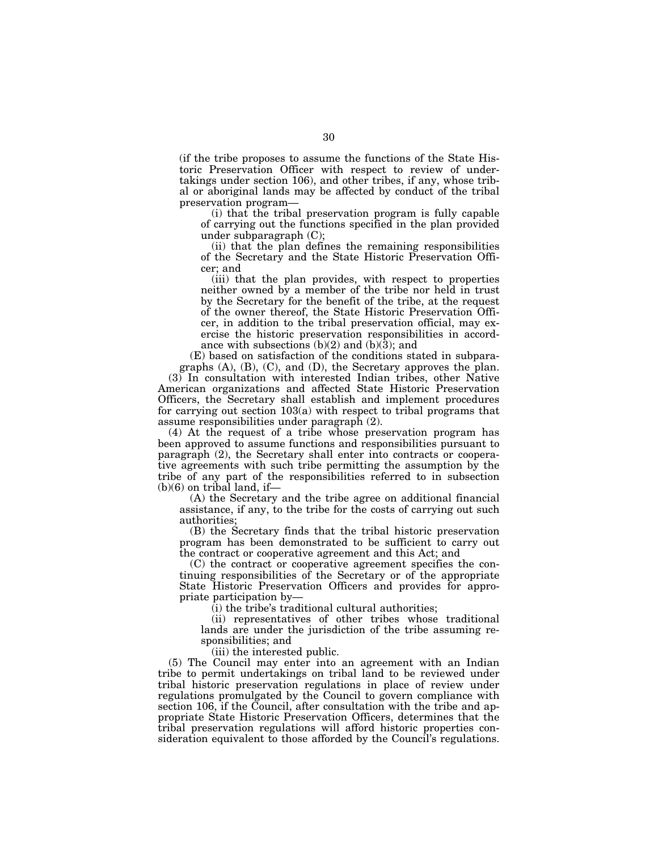(if the tribe proposes to assume the functions of the State Historic Preservation Officer with respect to review of undertakings under section 106), and other tribes, if any, whose tribal or aboriginal lands may be affected by conduct of the tribal preservation program—

(i) that the tribal preservation program is fully capable of carrying out the functions specified in the plan provided under subparagraph (C);

(ii) that the plan defines the remaining responsibilities of the Secretary and the State Historic Preservation Officer; and

(iii) that the plan provides, with respect to properties neither owned by a member of the tribe nor held in trust by the Secretary for the benefit of the tribe, at the request of the owner thereof, the State Historic Preservation Officer, in addition to the tribal preservation official, may exercise the historic preservation responsibilities in accordance with subsections  $(b)(2)$  and  $(b)(3)$ ; and

(E) based on satisfaction of the conditions stated in subparagraphs (A), (B), (C), and (D), the Secretary approves the plan.

(3) In consultation with interested Indian tribes, other Native American organizations and affected State Historic Preservation Officers, the Secretary shall establish and implement procedures for carrying out section 103(a) with respect to tribal programs that assume responsibilities under paragraph (2).

(4) At the request of a tribe whose preservation program has been approved to assume functions and responsibilities pursuant to paragraph (2), the Secretary shall enter into contracts or cooperative agreements with such tribe permitting the assumption by the tribe of any part of the responsibilities referred to in subsection  $(b)(6)$  on tribal land, if-

(A) the Secretary and the tribe agree on additional financial assistance, if any, to the tribe for the costs of carrying out such authorities;

(B) the Secretary finds that the tribal historic preservation program has been demonstrated to be sufficient to carry out the contract or cooperative agreement and this Act; and

(C) the contract or cooperative agreement specifies the continuing responsibilities of the Secretary or of the appropriate State Historic Preservation Officers and provides for appropriate participation by—

 $(i)$  the tribe's traditional cultural authorities;

(ii) representatives of other tribes whose traditional lands are under the jurisdiction of the tribe assuming responsibilities; and

(iii) the interested public.

(5) The Council may enter into an agreement with an Indian tribe to permit undertakings on tribal land to be reviewed under tribal historic preservation regulations in place of review under regulations promulgated by the Council to govern compliance with section 106, if the Council, after consultation with the tribe and appropriate State Historic Preservation Officers, determines that the tribal preservation regulations will afford historic properties consideration equivalent to those afforded by the Council's regulations.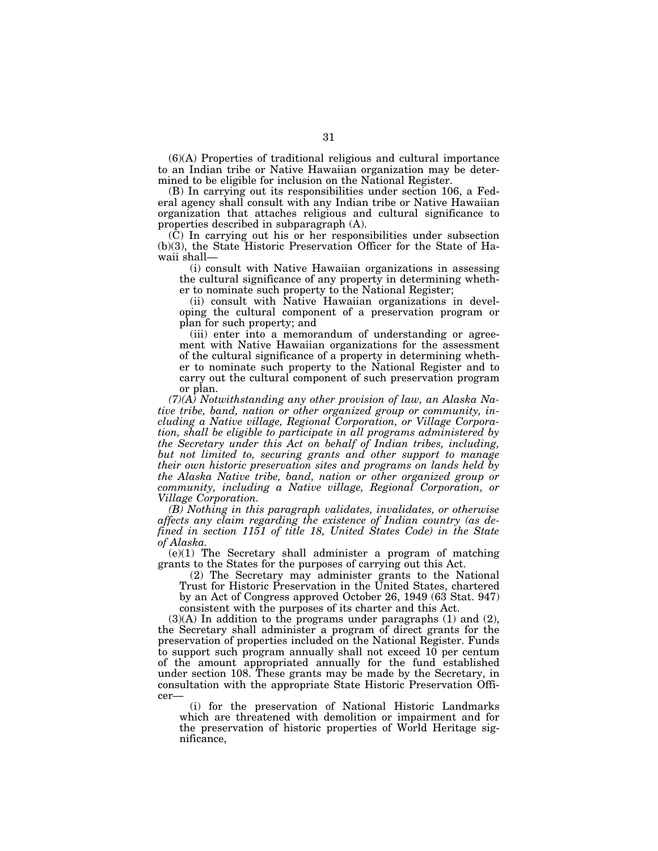(6)(A) Properties of traditional religious and cultural importance to an Indian tribe or Native Hawaiian organization may be determined to be eligible for inclusion on the National Register.

(B) In carrying out its responsibilities under section 106, a Federal agency shall consult with any Indian tribe or Native Hawaiian organization that attaches religious and cultural significance to properties described in subparagraph (A).

(C) In carrying out his or her responsibilities under subsection (b)(3), the State Historic Preservation Officer for the State of Hawaii shall—

(i) consult with Native Hawaiian organizations in assessing the cultural significance of any property in determining whether to nominate such property to the National Register;

(ii) consult with Native Hawaiian organizations in developing the cultural component of a preservation program or plan for such property; and

(iii) enter into a memorandum of understanding or agreement with Native Hawaiian organizations for the assessment of the cultural significance of a property in determining whether to nominate such property to the National Register and to carry out the cultural component of such preservation program or plan.

*(7)(A) Notwithstanding any other provision of law, an Alaska Native tribe, band, nation or other organized group or community, including a Native village, Regional Corporation, or Village Corporation, shall be eligible to participate in all programs administered by the Secretary under this Act on behalf of Indian tribes, including, but not limited to, securing grants and other support to manage their own historic preservation sites and programs on lands held by the Alaska Native tribe, band, nation or other organized group or community, including a Native village, Regional Corporation, or Village Corporation.* 

*(B) Nothing in this paragraph validates, invalidates, or otherwise affects any claim regarding the existence of Indian country (as defined in section 1151 of title 18, United States Code) in the State of Alaska.* 

(e)(1) The Secretary shall administer a program of matching grants to the States for the purposes of carrying out this Act.

(2) The Secretary may administer grants to the National Trust for Historic Preservation in the United States, chartered by an Act of Congress approved October 26, 1949 (63 Stat. 947) consistent with the purposes of its charter and this Act.

 $(3)(A)$  In addition to the programs under paragraphs  $(1)$  and  $(2)$ , the Secretary shall administer a program of direct grants for the preservation of properties included on the National Register. Funds to support such program annually shall not exceed 10 per centum of the amount appropriated annually for the fund established under section 108. These grants may be made by the Secretary, in consultation with the appropriate State Historic Preservation Officer—

(i) for the preservation of National Historic Landmarks which are threatened with demolition or impairment and for the preservation of historic properties of World Heritage significance,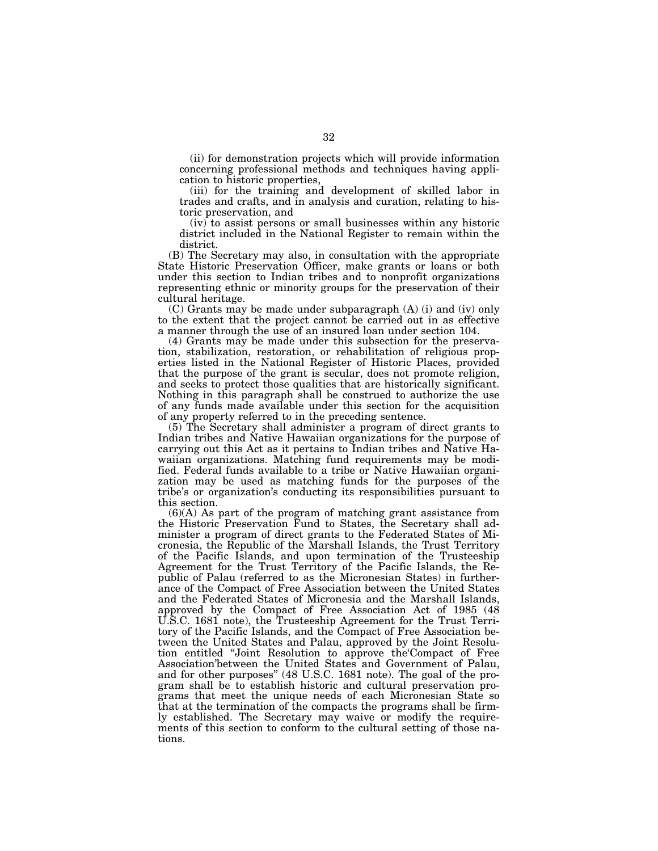(ii) for demonstration projects which will provide information concerning professional methods and techniques having application to historic properties,

(iii) for the training and development of skilled labor in trades and crafts, and in analysis and curation, relating to historic preservation, and

(iv) to assist persons or small businesses within any historic district included in the National Register to remain within the district.

(B) The Secretary may also, in consultation with the appropriate State Historic Preservation Officer, make grants or loans or both under this section to Indian tribes and to nonprofit organizations representing ethnic or minority groups for the preservation of their cultural heritage.

(C) Grants may be made under subparagraph (A) (i) and (iv) only to the extent that the project cannot be carried out in as effective a manner through the use of an insured loan under section 104.

(4) Grants may be made under this subsection for the preservation, stabilization, restoration, or rehabilitation of religious properties listed in the National Register of Historic Places, provided that the purpose of the grant is secular, does not promote religion, and seeks to protect those qualities that are historically significant. Nothing in this paragraph shall be construed to authorize the use of any funds made available under this section for the acquisition of any property referred to in the preceding sentence.

(5) The Secretary shall administer a program of direct grants to Indian tribes and Native Hawaiian organizations for the purpose of carrying out this Act as it pertains to Indian tribes and Native Hawaiian organizations. Matching fund requirements may be modified. Federal funds available to a tribe or Native Hawaiian organization may be used as matching funds for the purposes of the tribe's or organization's conducting its responsibilities pursuant to this section.

(6)(A) As part of the program of matching grant assistance from the Historic Preservation Fund to States, the Secretary shall administer a program of direct grants to the Federated States of Micronesia, the Republic of the Marshall Islands, the Trust Territory of the Pacific Islands, and upon termination of the Trusteeship Agreement for the Trust Territory of the Pacific Islands, the Republic of Palau (referred to as the Micronesian States) in furtherance of the Compact of Free Association between the United States and the Federated States of Micronesia and the Marshall Islands, approved by the Compact of Free Association Act of 1985 (48 U.S.C. 1681 note), the Trusteeship Agreement for the Trust Territory of the Pacific Islands, and the Compact of Free Association between the United States and Palau, approved by the Joint Resolution entitled ''Joint Resolution to approve the'Compact of Free Association'between the United States and Government of Palau, and for other purposes'' (48 U.S.C. 1681 note). The goal of the program shall be to establish historic and cultural preservation programs that meet the unique needs of each Micronesian State so that at the termination of the compacts the programs shall be firmly established. The Secretary may waive or modify the requirements of this section to conform to the cultural setting of those nations.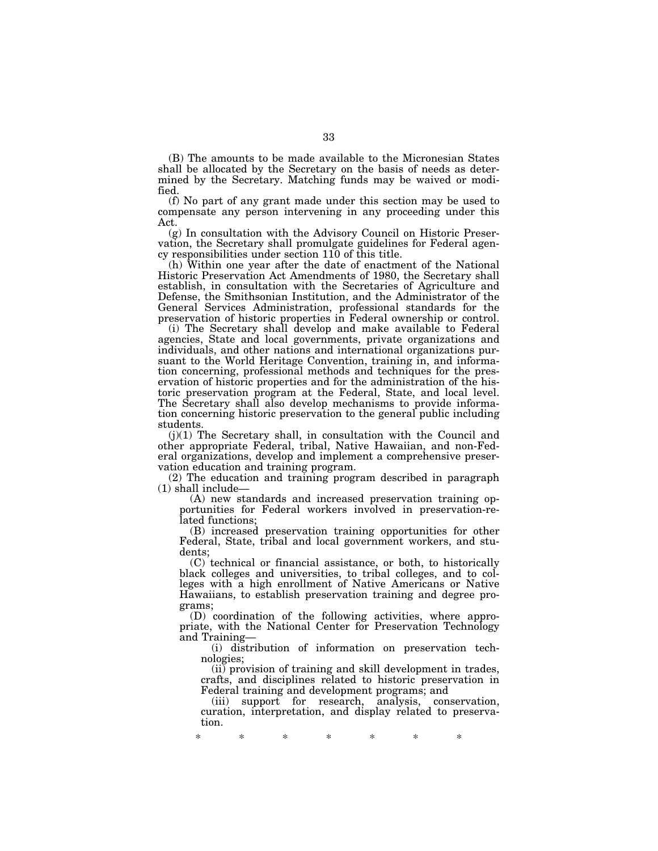(B) The amounts to be made available to the Micronesian States shall be allocated by the Secretary on the basis of needs as determined by the Secretary. Matching funds may be waived or modified.

(f) No part of any grant made under this section may be used to compensate any person intervening in any proceeding under this Act.

(g) In consultation with the Advisory Council on Historic Preservation, the Secretary shall promulgate guidelines for Federal agency responsibilities under section 110 of this title.

(h) Within one year after the date of enactment of the National Historic Preservation Act Amendments of 1980, the Secretary shall establish, in consultation with the Secretaries of Agriculture and Defense, the Smithsonian Institution, and the Administrator of the General Services Administration, professional standards for the preservation of historic properties in Federal ownership or control.

(i) The Secretary shall develop and make available to Federal agencies, State and local governments, private organizations and individuals, and other nations and international organizations pursuant to the World Heritage Convention, training in, and information concerning, professional methods and techniques for the preservation of historic properties and for the administration of the historic preservation program at the Federal, State, and local level. The Secretary shall also develop mechanisms to provide information concerning historic preservation to the general public including students.

(j)(1) The Secretary shall, in consultation with the Council and other appropriate Federal, tribal, Native Hawaiian, and non-Federal organizations, develop and implement a comprehensive preservation education and training program.

(2) The education and training program described in paragraph (1) shall include—

(A) new standards and increased preservation training opportunities for Federal workers involved in preservation-related functions;

(B) increased preservation training opportunities for other Federal, State, tribal and local government workers, and students;

(C) technical or financial assistance, or both, to historically black colleges and universities, to tribal colleges, and to colleges with a high enrollment of Native Americans or Native Hawaiians, to establish preservation training and degree programs;

(D) coordination of the following activities, where appropriate, with the National Center for Preservation Technology and Training—

(i) distribution of information on preservation technologies;

(ii) provision of training and skill development in trades, crafts, and disciplines related to historic preservation in Federal training and development programs; and

(iii) support for research, analysis, conservation, curation, interpretation, and display related to preservation.

\* \* \* \* \* \* \*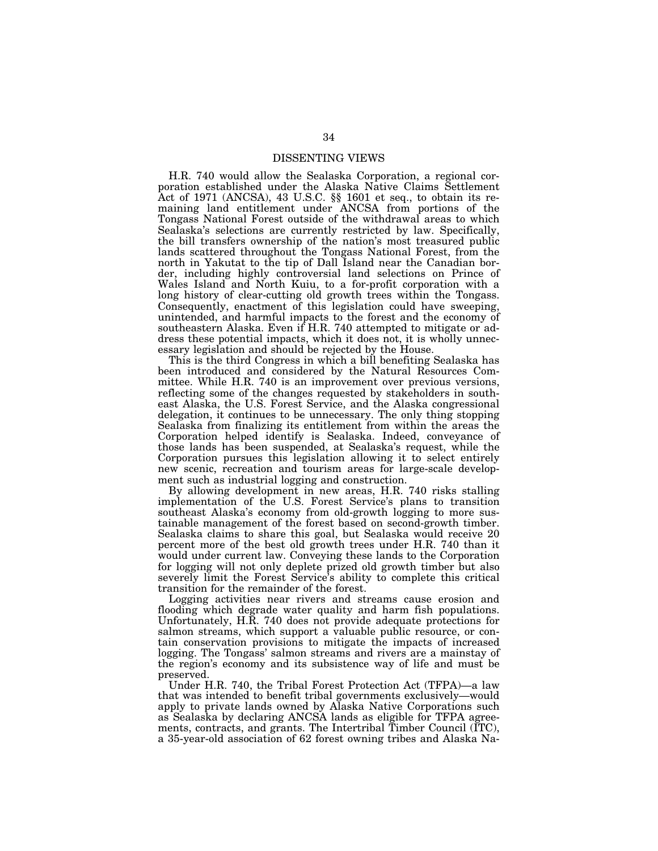## DISSENTING VIEWS

H.R. 740 would allow the Sealaska Corporation, a regional corporation established under the Alaska Native Claims Settlement Act of 1971 (ANCSA), 43 U.S.C. §§ 1601 et seq., to obtain its remaining land entitlement under ANCSA from portions of the Tongass National Forest outside of the withdrawal areas to which Sealaska's selections are currently restricted by law. Specifically, the bill transfers ownership of the nation's most treasured public lands scattered throughout the Tongass National Forest, from the north in Yakutat to the tip of Dall Island near the Canadian border, including highly controversial land selections on Prince of Wales Island and North Kuiu, to a for-profit corporation with a long history of clear-cutting old growth trees within the Tongass. Consequently, enactment of this legislation could have sweeping, unintended, and harmful impacts to the forest and the economy of southeastern Alaska. Even if H.R. 740 attempted to mitigate or address these potential impacts, which it does not, it is wholly unnecessary legislation and should be rejected by the House.

This is the third Congress in which a bill benefiting Sealaska has been introduced and considered by the Natural Resources Committee. While H.R. 740 is an improvement over previous versions, reflecting some of the changes requested by stakeholders in southeast Alaska, the U.S. Forest Service, and the Alaska congressional delegation, it continues to be unnecessary. The only thing stopping Sealaska from finalizing its entitlement from within the areas the Corporation helped identify is Sealaska. Indeed, conveyance of those lands has been suspended, at Sealaska's request, while the Corporation pursues this legislation allowing it to select entirely new scenic, recreation and tourism areas for large-scale development such as industrial logging and construction.

By allowing development in new areas, H.R. 740 risks stalling implementation of the U.S. Forest Service's plans to transition southeast Alaska's economy from old-growth logging to more sustainable management of the forest based on second-growth timber. Sealaska claims to share this goal, but Sealaska would receive 20 percent more of the best old growth trees under H.R. 740 than it would under current law. Conveying these lands to the Corporation for logging will not only deplete prized old growth timber but also severely limit the Forest Service's ability to complete this critical transition for the remainder of the forest.

Logging activities near rivers and streams cause erosion and flooding which degrade water quality and harm fish populations. Unfortunately, H.R. 740 does not provide adequate protections for salmon streams, which support a valuable public resource, or contain conservation provisions to mitigate the impacts of increased logging. The Tongass' salmon streams and rivers are a mainstay of the region's economy and its subsistence way of life and must be preserved.

Under H.R. 740, the Tribal Forest Protection Act (TFPA)—a law that was intended to benefit tribal governments exclusively—would apply to private lands owned by Alaska Native Corporations such as Sealaska by declaring ANCSA lands as eligible for TFPA agreements, contracts, and grants. The Intertribal Timber Council (ITC), a 35-year-old association of 62 forest owning tribes and Alaska Na